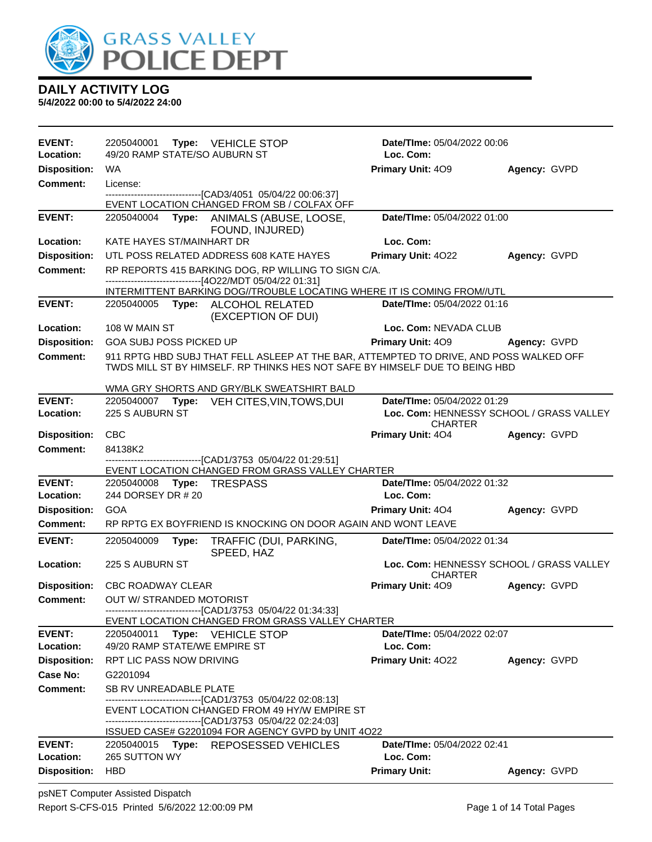

| <b>EVENT:</b>                    | 2205040001 Type: VEHICLE STOP                                                                                                                                                       | <b>Date/TIme: 05/04/2022 00:06</b>                         |              |
|----------------------------------|-------------------------------------------------------------------------------------------------------------------------------------------------------------------------------------|------------------------------------------------------------|--------------|
| Location:                        | 49/20 RAMP STATE/SO AUBURN ST                                                                                                                                                       | Loc. Com:                                                  |              |
| <b>Disposition:</b>              | WA.                                                                                                                                                                                 | <b>Primary Unit: 409</b>                                   | Agency: GVPD |
| <b>Comment:</b>                  | License:<br>--------------------------------[CAD3/4051 05/04/22 00:06:37]                                                                                                           |                                                            |              |
|                                  | EVENT LOCATION CHANGED FROM SB / COLFAX OFF                                                                                                                                         |                                                            |              |
| <b>EVENT:</b>                    | 2205040004 Type: ANIMALS (ABUSE, LOOSE,<br>FOUND, INJURED)                                                                                                                          | Date/TIme: 05/04/2022 01:00                                |              |
| Location:                        | KATE HAYES ST/MAINHART DR                                                                                                                                                           | Loc. Com:                                                  |              |
| <b>Disposition:</b>              | UTL POSS RELATED ADDRESS 608 KATE HAYES                                                                                                                                             | Primary Unit: 4022                                         | Agency: GVPD |
| <b>Comment:</b>                  | RP REPORTS 415 BARKING DOG, RP WILLING TO SIGN C/A.<br>------------------------[4O22/MDT 05/04/22 01:31]<br>INTERMITTENT BARKING DOG//TROUBLE LOCATING WHERE IT IS COMING FROM//UTL |                                                            |              |
| <b>EVENT:</b>                    | 2205040005 Type: ALCOHOL RELATED                                                                                                                                                    | Date/TIme: 05/04/2022 01:16                                |              |
|                                  | (EXCEPTION OF DUI)                                                                                                                                                                  |                                                            |              |
| Location:                        | 108 W MAIN ST                                                                                                                                                                       | Loc. Com: NEVADA CLUB                                      |              |
| <b>Disposition:</b>              | <b>GOA SUBJ POSS PICKED UP</b>                                                                                                                                                      | Primary Unit: 409                                          | Agency: GVPD |
| <b>Comment:</b>                  | 911 RPTG HBD SUBJ THAT FELL ASLEEP AT THE BAR, ATTEMPTED TO DRIVE, AND POSS WALKED OFF<br>TWDS MILL ST BY HIMSELF. RP THINKS HES NOT SAFE BY HIMSELF DUE TO BEING HBD               |                                                            |              |
|                                  | WMA GRY SHORTS AND GRY/BLK SWEATSHIRT BALD                                                                                                                                          |                                                            |              |
| <b>EVENT:</b>                    | 2205040007<br>Type: VEH CITES, VIN, TOWS, DUI                                                                                                                                       | Date/TIme: 05/04/2022 01:29                                |              |
| Location:                        | 225 S AUBURN ST                                                                                                                                                                     | Loc. Com: HENNESSY SCHOOL / GRASS VALLEY<br><b>CHARTER</b> |              |
| <b>Disposition:</b>              | <b>CBC</b>                                                                                                                                                                          | <b>Primary Unit: 404</b>                                   | Agency: GVPD |
| Comment:                         | 84138K2                                                                                                                                                                             |                                                            |              |
|                                  | -------------------------[CAD1/3753_05/04/22_01:29:51]<br>EVENT LOCATION CHANGED FROM GRASS VALLEY CHARTER                                                                          |                                                            |              |
| <b>EVENT:</b>                    | 2205040008<br>Type:<br>TRESPASS                                                                                                                                                     | Date/TIme: 05/04/2022 01:32                                |              |
| Location:                        | 244 DORSEY DR # 20                                                                                                                                                                  | Loc. Com:                                                  |              |
| <b>Disposition:</b>              | GOA                                                                                                                                                                                 | <b>Primary Unit: 404</b>                                   | Agency: GVPD |
| Comment:                         | RP RPTG EX BOYFRIEND IS KNOCKING ON DOOR AGAIN AND WONT LEAVE                                                                                                                       |                                                            |              |
| <b>EVENT:</b>                    | 2205040009<br>Type:<br>TRAFFIC (DUI, PARKING,<br>SPEED, HAZ                                                                                                                         | Date/TIme: 05/04/2022 01:34                                |              |
| Location:                        | 225 S AUBURN ST                                                                                                                                                                     | Loc. Com: HENNESSY SCHOOL / GRASS VALLEY                   |              |
|                                  | Disposition: CBC ROADWAY CLEAR                                                                                                                                                      | <b>CHARTER</b><br>Primary Unit: 409                        | Agency: GVPD |
| Comment:                         | <b>OUT W/ STRANDED MOTORIST</b>                                                                                                                                                     |                                                            |              |
|                                  | ------------------------------[CAD1/3753_05/04/22 01:34:33]                                                                                                                         |                                                            |              |
| <b>EVENT:</b>                    | EVENT LOCATION CHANGED FROM GRASS VALLEY CHARTER<br>2205040011                                                                                                                      | <b>Date/Time: 05/04/2022 02:07</b>                         |              |
| Location:                        | Type: VEHICLE STOP<br>49/20 RAMP STATE/WE EMPIRE ST                                                                                                                                 | Loc. Com:                                                  |              |
| <b>Disposition:</b>              | <b>RPT LIC PASS NOW DRIVING</b>                                                                                                                                                     | <b>Primary Unit: 4022</b>                                  | Agency: GVPD |
| Case No:                         | G2201094                                                                                                                                                                            |                                                            |              |
| Comment:                         | SB RV UNREADABLE PLATE                                                                                                                                                              |                                                            |              |
|                                  | ---------------------------------[CAD1/3753_05/04/22_02:08:13]                                                                                                                      |                                                            |              |
|                                  | EVENT LOCATION CHANGED FROM 49 HY/W EMPIRE ST<br>-------------------------------[CAD1/3753 05/04/22 02:24:03]                                                                       |                                                            |              |
|                                  |                                                                                                                                                                                     |                                                            |              |
|                                  | ISSUED CASE# G2201094 FOR AGENCY GVPD by UNIT 4O22                                                                                                                                  |                                                            |              |
| <b>EVENT:</b>                    | 2205040015 Type: REPOSESSED VEHICLES                                                                                                                                                | Date/TIme: 05/04/2022 02:41                                |              |
| Location:<br><b>Disposition:</b> | 265 SUTTON WY<br><b>HBD</b>                                                                                                                                                         | Loc. Com:<br><b>Primary Unit:</b>                          | Agency: GVPD |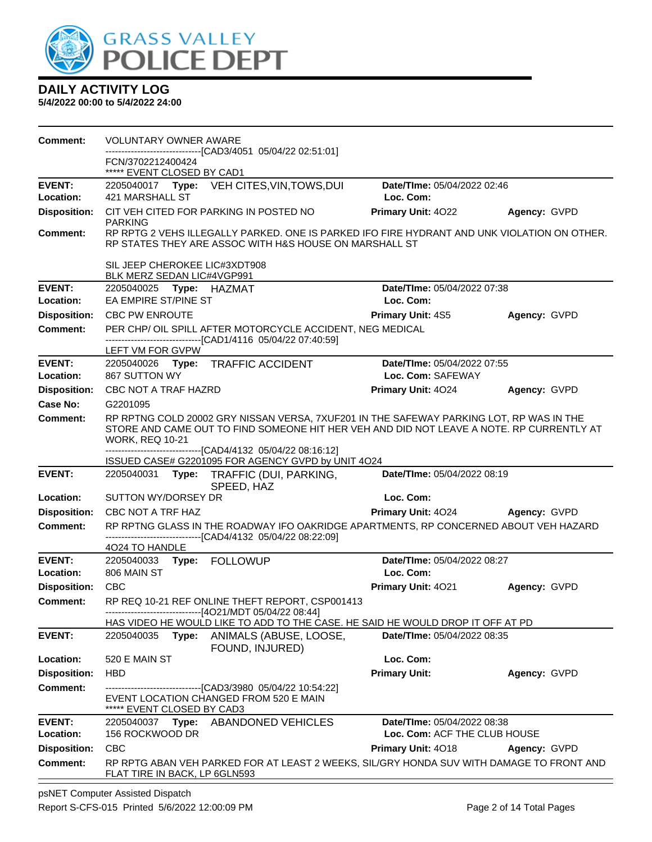

| <b>Comment:</b>            | <b>VOLUNTARY OWNER AWARE</b><br>------------------------[CAD3/4051_05/04/22 02:51:01]                                                                                                                                                                                         |                                                  |              |
|----------------------------|-------------------------------------------------------------------------------------------------------------------------------------------------------------------------------------------------------------------------------------------------------------------------------|--------------------------------------------------|--------------|
|                            | FCN/3702212400424<br>***** EVENT CLOSED BY CAD1                                                                                                                                                                                                                               |                                                  |              |
| <b>EVENT:</b><br>Location: | 2205040017 Type: VEH CITES, VIN, TOWS, DUI<br>421 MARSHALL ST                                                                                                                                                                                                                 | Date/TIme: 05/04/2022 02:46<br>Loc. Com:         |              |
| <b>Disposition:</b>        | CIT VEH CITED FOR PARKING IN POSTED NO<br><b>PARKING</b>                                                                                                                                                                                                                      | <b>Primary Unit: 4022</b>                        | Agency: GVPD |
| <b>Comment:</b>            | RP RPTG 2 VEHS ILLEGALLY PARKED. ONE IS PARKED IFO FIRE HYDRANT AND UNK VIOLATION ON OTHER.<br>RP STATES THEY ARE ASSOC WITH H&S HOUSE ON MARSHALL ST                                                                                                                         |                                                  |              |
|                            | SIL JEEP CHEROKEE LIC#3XDT908<br>BLK MERZ SEDAN LIC#4VGP991                                                                                                                                                                                                                   |                                                  |              |
| <b>EVENT:</b>              |                                                                                                                                                                                                                                                                               | Date/TIme: 05/04/2022 07:38                      |              |
| Location:                  | EA EMPIRE ST/PINE ST                                                                                                                                                                                                                                                          | Loc. Com:                                        |              |
| <b>Disposition:</b>        | CBC PW ENROUTE                                                                                                                                                                                                                                                                | <b>Primary Unit: 4S5</b>                         | Agency: GVPD |
| <b>Comment:</b>            | PER CHP/ OIL SPILL AFTER MOTORCYCLE ACCIDENT, NEG MEDICAL<br>--------------------------[CAD1/4116 05/04/22 07:40:59]<br>LEFT VM FOR GVPW                                                                                                                                      |                                                  |              |
| <b>EVENT:</b><br>Location: | 2205040026 Type: TRAFFIC ACCIDENT<br>867 SUTTON WY                                                                                                                                                                                                                            | Date/TIme: 05/04/2022 07:55<br>Loc. Com: SAFEWAY |              |
| <b>Disposition:</b>        | CBC NOT A TRAF HAZRD                                                                                                                                                                                                                                                          | <b>Primary Unit: 4024</b>                        | Agency: GVPD |
| Case No:                   | G2201095                                                                                                                                                                                                                                                                      |                                                  |              |
| Comment:                   | RP RPTNG COLD 20002 GRY NISSAN VERSA, 7XUF201 IN THE SAFEWAY PARKING LOT, RP WAS IN THE<br>STORE AND CAME OUT TO FIND SOMEONE HIT HER VEH AND DID NOT LEAVE A NOTE. RP CURRENTLY AT<br><b>WORK, REQ 10-21</b><br>-------------------------------[CAD4/4132 05/04/22 08:16:12] |                                                  |              |
|                            | ISSUED CASE# G2201095 FOR AGENCY GVPD by UNIT 4O24                                                                                                                                                                                                                            |                                                  |              |
| <b>EVENT:</b>              | 2205040031 Type: TRAFFIC (DUI, PARKING,<br>SPEED, HAZ                                                                                                                                                                                                                         | Date/TIme: 05/04/2022 08:19                      |              |
| Location:                  | SUTTON WY/DORSEY DR                                                                                                                                                                                                                                                           | Loc. Com:                                        |              |
| <b>Disposition:</b>        | CBC NOT A TRF HAZ                                                                                                                                                                                                                                                             | Primary Unit: 4024 Agency: GVPD                  |              |
| <b>Comment:</b>            | RP RPTNG GLASS IN THE ROADWAY IFO OAKRIDGE APARTMENTS, RP CONCERNED ABOUT VEH HAZARD<br>-------------------------------[CAD4/4132 05/04/22 08:22:09]<br>4024 TO HANDLE                                                                                                        |                                                  |              |
| <b>EVENT:</b>              | 2205040033 Type: FOLLOWUP                                                                                                                                                                                                                                                     | Date/TIme: 05/04/2022 08:27                      |              |
| Location:                  | 806 MAIN ST                                                                                                                                                                                                                                                                   | Loc. Com:                                        |              |
| Disposition: CBC           |                                                                                                                                                                                                                                                                               | Primary Unit: 4021                               | Agency: GVPD |
| Comment:                   | RP REQ 10-21 REF ONLINE THEFT REPORT, CSP001413<br>-------------------------------[4O21/MDT 05/04/22 08:44]                                                                                                                                                                   |                                                  |              |
|                            | HAS VIDEO HE WOULD LIKE TO ADD TO THE CASE. HE SAID HE WOULD DROP IT OFF AT PD                                                                                                                                                                                                |                                                  |              |
| <b>EVENT:</b>              | Type:<br>2205040035<br>ANIMALS (ABUSE, LOOSE,<br>FOUND, INJURED)                                                                                                                                                                                                              | <b>Date/Time: 05/04/2022 08:35</b>               |              |
| Location:                  | 520 E MAIN ST                                                                                                                                                                                                                                                                 | Loc. Com:                                        |              |
| <b>Disposition:</b>        | <b>HBD</b>                                                                                                                                                                                                                                                                    | <b>Primary Unit:</b>                             | Agency: GVPD |
| <b>Comment:</b>            | -------------------------------[CAD3/3980_05/04/22_10:54:22]<br>EVENT LOCATION CHANGED FROM 520 E MAIN<br>***** EVENT CLOSED BY CAD3                                                                                                                                          |                                                  |              |
| <b>EVENT:</b>              | 2205040037 Type: ABANDONED VEHICLES                                                                                                                                                                                                                                           | Date/TIme: 05/04/2022 08:38                      |              |
| Location:                  | 156 ROCKWOOD DR                                                                                                                                                                                                                                                               | Loc. Com: ACF THE CLUB HOUSE                     |              |
| <b>Disposition:</b>        | <b>CBC</b>                                                                                                                                                                                                                                                                    | Primary Unit: 4018                               | Agency: GVPD |
| <b>Comment:</b>            | RP RPTG ABAN VEH PARKED FOR AT LEAST 2 WEEKS, SIL/GRY HONDA SUV WITH DAMAGE TO FRONT AND<br>FLAT TIRE IN BACK, LP 6GLN593                                                                                                                                                     |                                                  |              |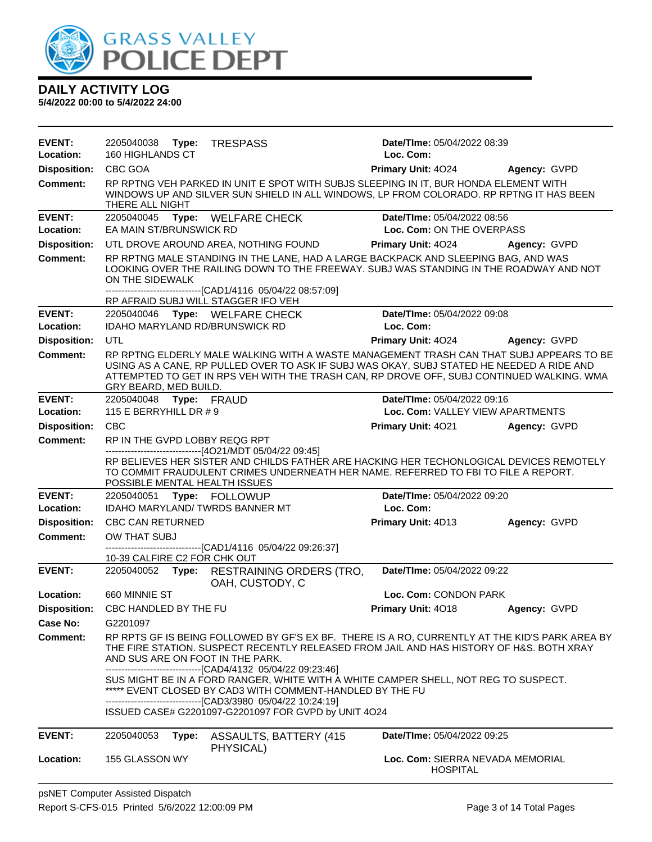

| <b>EVENT:</b><br>Location: | 2205040038 Type:<br><b>TRESPASS</b><br>160 HIGHLANDS CT                                                                                                                                                                                                                                                    | Date/TIme: 05/04/2022 08:39<br>Loc. Com:                 |              |
|----------------------------|------------------------------------------------------------------------------------------------------------------------------------------------------------------------------------------------------------------------------------------------------------------------------------------------------------|----------------------------------------------------------|--------------|
| <b>Disposition:</b>        | CBC GOA                                                                                                                                                                                                                                                                                                    | <b>Primary Unit: 4024</b>                                | Agency: GVPD |
| <b>Comment:</b>            | RP RPTNG VEH PARKED IN UNIT E SPOT WITH SUBJS SLEEPING IN IT, BUR HONDA ELEMENT WITH<br>WINDOWS UP AND SILVER SUN SHIELD IN ALL WINDOWS, LP FROM COLORADO. RP RPTNG IT HAS BEEN<br>THERE ALL NIGHT                                                                                                         |                                                          |              |
| <b>EVENT:</b><br>Location: | 2205040045 Type: WELFARE CHECK<br>EA MAIN ST/BRUNSWICK RD                                                                                                                                                                                                                                                  | Date/TIme: 05/04/2022 08:56<br>Loc. Com: ON THE OVERPASS |              |
| <b>Disposition:</b>        | UTL DROVE AROUND AREA, NOTHING FOUND                                                                                                                                                                                                                                                                       | <b>Primary Unit: 4024</b>                                | Agency: GVPD |
| <b>Comment:</b>            | RP RPTNG MALE STANDING IN THE LANE, HAD A LARGE BACKPACK AND SLEEPING BAG, AND WAS<br>LOOKING OVER THE RAILING DOWN TO THE FREEWAY. SUBJ WAS STANDING IN THE ROADWAY AND NOT<br>ON THE SIDEWALK                                                                                                            |                                                          |              |
|                            | --------------------------------[CAD1/4116 05/04/22 08:57:09]<br>RP AFRAID SUBJ WILL STAGGER IFO VEH                                                                                                                                                                                                       |                                                          |              |
| <b>EVENT:</b>              | 2205040046 Type: WELFARE CHECK                                                                                                                                                                                                                                                                             | Date/TIme: 05/04/2022 09:08                              |              |
| Location:                  | IDAHO MARYLAND RD/BRUNSWICK RD                                                                                                                                                                                                                                                                             | Loc. Com:                                                |              |
| <b>Disposition:</b>        | UTL                                                                                                                                                                                                                                                                                                        | Primary Unit: 4024                                       | Agency: GVPD |
| Comment:                   | RP RPTNG ELDERLY MALE WALKING WITH A WASTE MANAGEMENT TRASH CAN THAT SUBJ APPEARS TO BE<br>USING AS A CANE, RP PULLED OVER TO ASK IF SUBJ WAS OKAY, SUBJ STATED HE NEEDED A RIDE AND<br>ATTEMPTED TO GET IN RPS VEH WITH THE TRASH CAN, RP DROVE OFF, SUBJ CONTINUED WALKING. WMA<br>GRY BEARD, MED BUILD. |                                                          |              |
| <b>EVENT:</b>              | 2205040048 Type: FRAUD                                                                                                                                                                                                                                                                                     | Date/TIme: 05/04/2022 09:16                              |              |
| Location:                  | 115 E BERRYHILL DR # 9                                                                                                                                                                                                                                                                                     | Loc. Com: VALLEY VIEW APARTMENTS                         |              |
| <b>Disposition:</b>        | <b>CBC</b>                                                                                                                                                                                                                                                                                                 | <b>Primary Unit: 4021</b>                                | Agency: GVPD |
| <b>Comment:</b>            | RP IN THE GVPD LOBBY REQG RPT<br>------------------------------[4O21/MDT 05/04/22 09:45]                                                                                                                                                                                                                   |                                                          |              |
|                            | RP BELIEVES HER SISTER AND CHILDS FATHER ARE HACKING HER TECHONLOGICAL DEVICES REMOTELY<br>TO COMMIT FRAUDULENT CRIMES UNDERNEATH HER NAME. REFERRED TO FBI TO FILE A REPORT.<br>POSSIBLE MENTAL HEALTH ISSUES                                                                                             |                                                          |              |
| <b>EVENT:</b><br>Location: | 2205040051 Type: FOLLOWUP<br><b>IDAHO MARYLAND/TWRDS BANNER MT</b>                                                                                                                                                                                                                                         | Date/TIme: 05/04/2022 09:20<br>Loc. Com:                 |              |
| <b>Disposition:</b>        | <b>CBC CAN RETURNED</b>                                                                                                                                                                                                                                                                                    | Primary Unit: 4D13                                       | Agency: GVPD |
| <b>Comment:</b>            | OW THAT SUBJ                                                                                                                                                                                                                                                                                               |                                                          |              |
|                            | -------------------------------[CAD1/4116 05/04/22 09:26:37]<br>10-39 CALFIRE C2 FOR CHK OUT                                                                                                                                                                                                               |                                                          |              |
| <b>EVENT:</b>              | 2205040052 Type: RESTRAINING ORDERS (TRO,<br>OAH, CUSTODY, C                                                                                                                                                                                                                                               | Date/TIme: 05/04/2022 09:22                              |              |
| Location:                  | 660 MINNIE ST                                                                                                                                                                                                                                                                                              | Loc. Com: CONDON PARK                                    |              |
|                            | Disposition: CBC HANDLED BY THE FU                                                                                                                                                                                                                                                                         | <b>Primary Unit: 4018</b>                                | Agency: GVPD |
| Case No:                   | G2201097                                                                                                                                                                                                                                                                                                   |                                                          |              |
| Comment:                   | RP RPTS GF IS BEING FOLLOWED BY GF'S EX BF. THERE IS A RO, CURRENTLY AT THE KID'S PARK AREA BY<br>THE FIRE STATION. SUSPECT RECENTLY RELEASED FROM JAIL AND HAS HISTORY OF H&S. BOTH XRAY<br>AND SUS ARE ON FOOT IN THE PARK.<br>-------------------------------[CAD4/4132 05/04/22 09:23:46]              |                                                          |              |
|                            | SUS MIGHT BE IN A FORD RANGER, WHITE WITH A WHITE CAMPER SHELL, NOT REG TO SUSPECT.<br>***** EVENT CLOSED BY CAD3 WITH COMMENT-HANDLED BY THE FU<br>--------------------------------[CAD3/3980 05/04/22 10:24:19]<br>ISSUED CASE# G2201097-G2201097 FOR GVPD by UNIT 4O24                                  |                                                          |              |
|                            |                                                                                                                                                                                                                                                                                                            |                                                          |              |
| <b>EVENT:</b>              | 2205040053<br>Type:<br><b>ASSAULTS, BATTERY (415)</b><br>PHYSICAL)                                                                                                                                                                                                                                         | Date/TIme: 05/04/2022 09:25                              |              |
| Location:                  | 155 GLASSON WY                                                                                                                                                                                                                                                                                             | Loc. Com: SIERRA NEVADA MEMORIAL<br><b>HOSPITAL</b>      |              |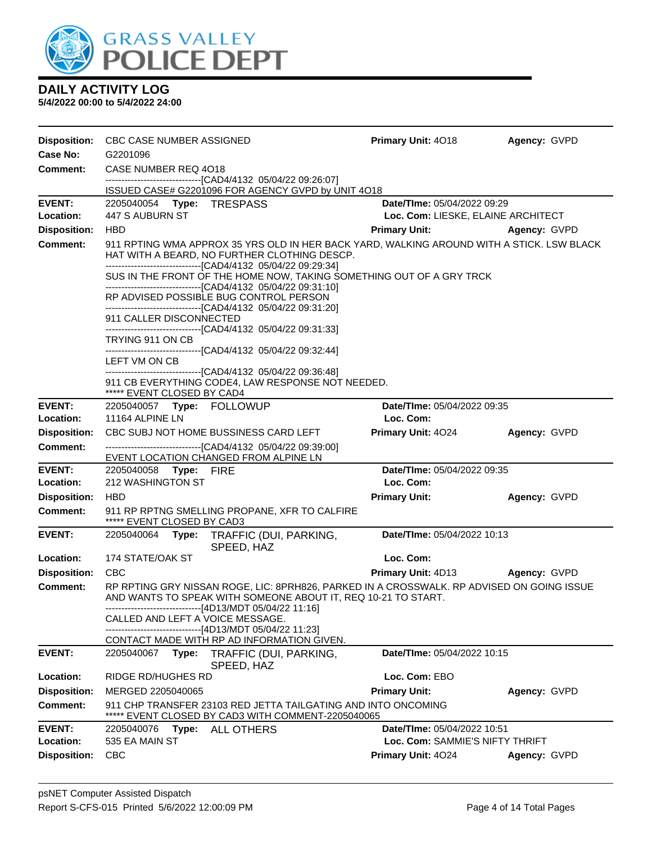

| <b>Disposition:</b><br>Case No: | CBC CASE NUMBER ASSIGNED<br>G2201096                                                                                                                                                                       | <b>Primary Unit: 4018</b>                                                                 | Agency: GVPD |  |  |
|---------------------------------|------------------------------------------------------------------------------------------------------------------------------------------------------------------------------------------------------------|-------------------------------------------------------------------------------------------|--------------|--|--|
| <b>Comment:</b>                 | CASE NUMBER REQ 4018                                                                                                                                                                                       |                                                                                           |              |  |  |
|                                 | ------------------------------[CAD4/4132 05/04/22 09:26:07]                                                                                                                                                |                                                                                           |              |  |  |
|                                 | ISSUED CASE# G2201096 FOR AGENCY GVPD by UNIT 4O18                                                                                                                                                         |                                                                                           |              |  |  |
| <b>EVENT:</b>                   | 2205040054 Type: TRESPASS                                                                                                                                                                                  | Date/TIme: 05/04/2022 09:29                                                               |              |  |  |
| Location:                       | 447 S AUBURN ST                                                                                                                                                                                            | Loc. Com: LIESKE, ELAINE ARCHITECT                                                        |              |  |  |
| <b>Disposition:</b>             | <b>HBD</b>                                                                                                                                                                                                 | <b>Primary Unit:</b>                                                                      | Agency: GVPD |  |  |
| <b>Comment:</b>                 | 911 RPTING WMA APPROX 35 YRS OLD IN HER BACK YARD, WALKING AROUND WITH A STICK. LSW BLACK<br>HAT WITH A BEARD, NO FURTHER CLOTHING DESCP.<br>--------------------------------[CAD4/4132 05/04/22 09:29:34] |                                                                                           |              |  |  |
|                                 | --------------------------------[CAD4/4132 05/04/22 09:31:10]                                                                                                                                              | SUS IN THE FRONT OF THE HOME NOW, TAKING SOMETHING OUT OF A GRY TRCK                      |              |  |  |
|                                 | RP ADVISED POSSIBLE BUG CONTROL PERSON<br>-------------------------------[CAD4/4132 05/04/22 09:31:20]                                                                                                     |                                                                                           |              |  |  |
|                                 | 911 CALLER DISCONNECTED                                                                                                                                                                                    |                                                                                           |              |  |  |
|                                 | -------------------------------[CAD4/4132 05/04/22 09:31:33]<br>TRYING 911 ON CB<br>-------------------------------[CAD4/4132 05/04/22 09:32:44]                                                           |                                                                                           |              |  |  |
|                                 | LEFT VM ON CB                                                                                                                                                                                              |                                                                                           |              |  |  |
|                                 | -------------------------------[CAD4/4132 05/04/22 09:36:48]<br>911 CB EVERYTHING CODE4, LAW RESPONSE NOT NEEDED.                                                                                          |                                                                                           |              |  |  |
|                                 | ***** EVENT CLOSED BY CAD4                                                                                                                                                                                 |                                                                                           |              |  |  |
| <b>EVENT:</b>                   |                                                                                                                                                                                                            | Date/TIme: 05/04/2022 09:35                                                               |              |  |  |
| Location:                       | 11164 ALPINE LN                                                                                                                                                                                            | Loc. Com:                                                                                 |              |  |  |
| <b>Disposition:</b>             | CBC SUBJ NOT HOME BUSSINESS CARD LEFT                                                                                                                                                                      | Primary Unit: 4024                                                                        | Agency: GVPD |  |  |
| <b>Comment:</b>                 | -------------------------------[CAD4/4132 05/04/22 09:39:00]                                                                                                                                               |                                                                                           |              |  |  |
| <b>EVENT:</b>                   | EVENT LOCATION CHANGED FROM ALPINE LN<br>2205040058 Type: FIRE                                                                                                                                             | Date/TIme: 05/04/2022 09:35                                                               |              |  |  |
| Location:                       | 212 WASHINGTON ST                                                                                                                                                                                          | Loc. Com:                                                                                 |              |  |  |
| <b>Disposition:</b>             | <b>HBD</b>                                                                                                                                                                                                 | <b>Primary Unit:</b>                                                                      | Agency: GVPD |  |  |
| <b>Comment:</b>                 | 911 RP RPTNG SMELLING PROPANE, XFR TO CALFIRE<br>***** EVENT CLOSED BY CAD3                                                                                                                                |                                                                                           |              |  |  |
| <b>EVENT:</b>                   | 2205040064 Type: TRAFFIC (DUI, PARKING,<br>SPEED, HAZ                                                                                                                                                      | Date/TIme: 05/04/2022 10:13                                                               |              |  |  |
| Location:                       | 174 STATE/OAK ST                                                                                                                                                                                           | Loc. Com:                                                                                 |              |  |  |
| <b>Disposition:</b>             | <b>CBC</b>                                                                                                                                                                                                 | <b>Primary Unit: 4D13</b>                                                                 | Agency: GVPD |  |  |
| <b>Comment:</b>                 | AND WANTS TO SPEAK WITH SOMEONE ABOUT IT, REQ 10-21 TO START.<br>---------------------------[4D13/MDT 05/04/22 11:16]                                                                                      | RP RPTING GRY NISSAN ROGE, LIC: 8PRH826, PARKED IN A CROSSWALK. RP ADVISED ON GOING ISSUE |              |  |  |
|                                 | CALLED AND LEFT A VOICE MESSAGE.<br>-----------------[4D13/MDT 05/04/22 11:23]                                                                                                                             |                                                                                           |              |  |  |
| <b>EVENT:</b>                   | CONTACT MADE WITH RP AD INFORMATION GIVEN.<br>2205040067<br>Type:<br>TRAFFIC (DUI, PARKING,                                                                                                                | Date/TIme: 05/04/2022 10:15                                                               |              |  |  |
|                                 | SPEED, HAZ                                                                                                                                                                                                 |                                                                                           |              |  |  |
| Location:                       | RIDGE RD/HUGHES RD                                                                                                                                                                                         | Loc. Com: EBO                                                                             |              |  |  |
| <b>Disposition:</b>             | MERGED 2205040065                                                                                                                                                                                          | <b>Primary Unit:</b>                                                                      | Agency: GVPD |  |  |
| <b>Comment:</b>                 | 911 CHP TRANSFER 23103 RED JETTA TAILGATING AND INTO ONCOMING<br>EVENT CLOSED BY CAD3 WITH COMMENT-2205040065                                                                                              |                                                                                           |              |  |  |
| <b>EVENT:</b>                   | 2205040076<br><b>Type: ALL OTHERS</b>                                                                                                                                                                      | Date/TIme: 05/04/2022 10:51                                                               |              |  |  |
| Location:                       | 535 EA MAIN ST                                                                                                                                                                                             | Loc. Com: SAMMIE'S NIFTY THRIFT                                                           |              |  |  |
| <b>Disposition:</b>             | <b>CBC</b>                                                                                                                                                                                                 | Primary Unit: 4024                                                                        | Agency: GVPD |  |  |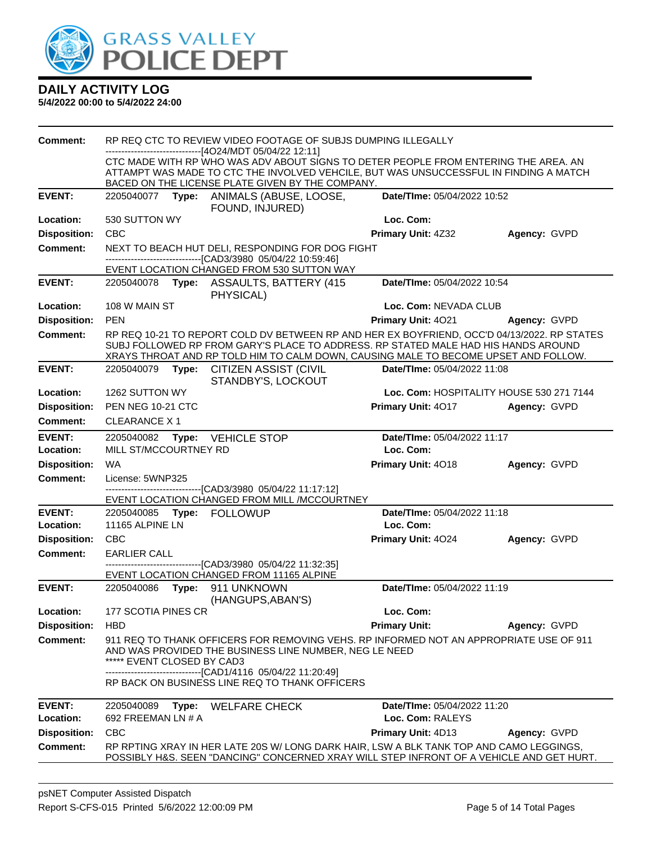

| <b>Comment:</b>            |                                  | RP REQ CTC TO REVIEW VIDEO FOOTAGE OF SUBJS DUMPING ILLEGALLY                                                                                                                                                                                                            |                                                 |                                          |
|----------------------------|----------------------------------|--------------------------------------------------------------------------------------------------------------------------------------------------------------------------------------------------------------------------------------------------------------------------|-------------------------------------------------|------------------------------------------|
|                            |                                  | ------------------------------[4O24/MDT 05/04/22 12:11]<br>CTC MADE WITH RP WHO WAS ADV ABOUT SIGNS TO DETER PEOPLE FROM ENTERING THE AREA. AN                                                                                                                           |                                                 |                                          |
|                            |                                  | ATTAMPT WAS MADE TO CTC THE INVOLVED VEHCILE, BUT WAS UNSUCCESSFUL IN FINDING A MATCH                                                                                                                                                                                    |                                                 |                                          |
|                            |                                  | BACED ON THE LICENSE PLATE GIVEN BY THE COMPANY.                                                                                                                                                                                                                         |                                                 |                                          |
| <b>EVENT:</b>              |                                  | 2205040077 Type: ANIMALS (ABUSE, LOOSE,<br>FOUND, INJURED)                                                                                                                                                                                                               | Date/TIme: 05/04/2022 10:52                     |                                          |
| Location:                  | 530 SUTTON WY                    |                                                                                                                                                                                                                                                                          | Loc. Com:                                       |                                          |
| <b>Disposition:</b>        | <b>CBC</b>                       |                                                                                                                                                                                                                                                                          | <b>Primary Unit: 4Z32</b>                       | Agency: GVPD                             |
| <b>Comment:</b>            |                                  | NEXT TO BEACH HUT DELI, RESPONDING FOR DOG FIGHT<br>--------------------------------[CAD3/3980 05/04/22 10:59:46]                                                                                                                                                        |                                                 |                                          |
|                            |                                  | EVENT LOCATION CHANGED FROM 530 SUTTON WAY                                                                                                                                                                                                                               |                                                 |                                          |
| <b>EVENT:</b>              |                                  | 2205040078 Type: ASSAULTS, BATTERY (415<br>PHYSICAL)                                                                                                                                                                                                                     | Date/TIme: 05/04/2022 10:54                     |                                          |
| Location:                  | 108 W MAIN ST                    |                                                                                                                                                                                                                                                                          | Loc. Com: NEVADA CLUB                           |                                          |
| <b>Disposition:</b>        | <b>PEN</b>                       |                                                                                                                                                                                                                                                                          | Primary Unit: 4021                              | Agency: GVPD                             |
| <b>Comment:</b>            |                                  | RP REQ 10-21 TO REPORT COLD DV BETWEEN RP AND HER EX BOYFRIEND, OCC'D 04/13/2022. RP STATES<br>SUBJ FOLLOWED RP FROM GARY'S PLACE TO ADDRESS. RP STATED MALE HAD HIS HANDS AROUND<br>XRAYS THROAT AND RP TOLD HIM TO CALM DOWN, CAUSING MALE TO BECOME UPSET AND FOLLOW. |                                                 |                                          |
| <b>EVENT:</b>              |                                  | 2205040079 Type: CITIZEN ASSIST (CIVIL<br>STANDBY'S, LOCKOUT                                                                                                                                                                                                             | Date/TIme: 05/04/2022 11:08                     |                                          |
| Location:                  | 1262 SUTTON WY                   |                                                                                                                                                                                                                                                                          |                                                 | Loc. Com: HOSPITALITY HOUSE 530 271 7144 |
| <b>Disposition:</b>        | PEN NEG 10-21 CTC                |                                                                                                                                                                                                                                                                          | <b>Primary Unit: 4017</b>                       | Agency: GVPD                             |
| <b>Comment:</b>            | <b>CLEARANCE X1</b>              |                                                                                                                                                                                                                                                                          |                                                 |                                          |
| <b>EVENT:</b>              |                                  | 2205040082 Type: VEHICLE STOP                                                                                                                                                                                                                                            | Date/TIme: 05/04/2022 11:17                     |                                          |
| Location:                  | MILL ST/MCCOURTNEY RD            |                                                                                                                                                                                                                                                                          | Loc. Com:                                       |                                          |
| <b>Disposition:</b>        | WA                               |                                                                                                                                                                                                                                                                          | Primary Unit: 4018                              | Agency: GVPD                             |
| <b>Comment:</b>            | License: 5WNP325                 | --------------------------------[CAD3/3980 05/04/22 11:17:12]                                                                                                                                                                                                            |                                                 |                                          |
|                            |                                  | EVENT LOCATION CHANGED FROM MILL /MCCOURTNEY                                                                                                                                                                                                                             |                                                 |                                          |
| <b>EVENT:</b>              |                                  | 2205040085 Type: FOLLOWUP                                                                                                                                                                                                                                                | Date/TIme: 05/04/2022 11:18                     |                                          |
| Location:                  | 11165 ALPINE LN                  |                                                                                                                                                                                                                                                                          | Loc. Com:                                       |                                          |
| <b>Disposition:</b>        | CBC                              |                                                                                                                                                                                                                                                                          | <b>Primary Unit: 4024</b>                       | Agency: GVPD                             |
| <b>Comment:</b>            | <b>EARLIER CALL</b>              |                                                                                                                                                                                                                                                                          |                                                 |                                          |
|                            |                                  | --------------------------------[CAD3/3980 05/04/22 11:32:35]<br>EVENT LOCATION CHANGED FROM 11165 ALPINE                                                                                                                                                                |                                                 |                                          |
| <b>EVENT:</b>              |                                  | 2205040086    Type: 911    UNKNOWN<br>(HANGUPS, ABAN'S)                                                                                                                                                                                                                  | Date/TIme: 05/04/2022 11:19                     |                                          |
| <b>Location:</b>           | 177 SCOTIA PINES CR              |                                                                                                                                                                                                                                                                          | Loc. Com:                                       |                                          |
| <b>Disposition:</b>        | <b>HBD</b>                       |                                                                                                                                                                                                                                                                          | <b>Primary Unit:</b>                            | Agency: GVPD                             |
| <b>Comment:</b>            | ***** EVENT CLOSED BY CAD3       | 911 REQ TO THANK OFFICERS FOR REMOVING VEHS. RP INFORMED NOT AN APPROPRIATE USE OF 911<br>AND WAS PROVIDED THE BUSINESS LINE NUMBER, NEG LE NEED                                                                                                                         |                                                 |                                          |
|                            |                                  | -------------------------------[CAD1/4116 05/04/22 11:20:49]<br>RP BACK ON BUSINESS LINE REQ TO THANK OFFICERS                                                                                                                                                           |                                                 |                                          |
| <b>EVENT:</b><br>Location: | 2205040089<br>692 FREEMAN LN # A | Type: WELFARE CHECK                                                                                                                                                                                                                                                      | Date/TIme: 05/04/2022 11:20<br>Loc. Com: RALEYS |                                          |
| <b>Disposition:</b>        | <b>CBC</b>                       |                                                                                                                                                                                                                                                                          | Primary Unit: 4D13                              | Agency: GVPD                             |
| <b>Comment:</b>            |                                  | RP RPTING XRAY IN HER LATE 20S W/ LONG DARK HAIR, LSW A BLK TANK TOP AND CAMO LEGGINGS,<br>POSSIBLY H&S. SEEN "DANCING" CONCERNED XRAY WILL STEP INFRONT OF A VEHICLE AND GET HURT.                                                                                      |                                                 |                                          |
|                            |                                  |                                                                                                                                                                                                                                                                          |                                                 |                                          |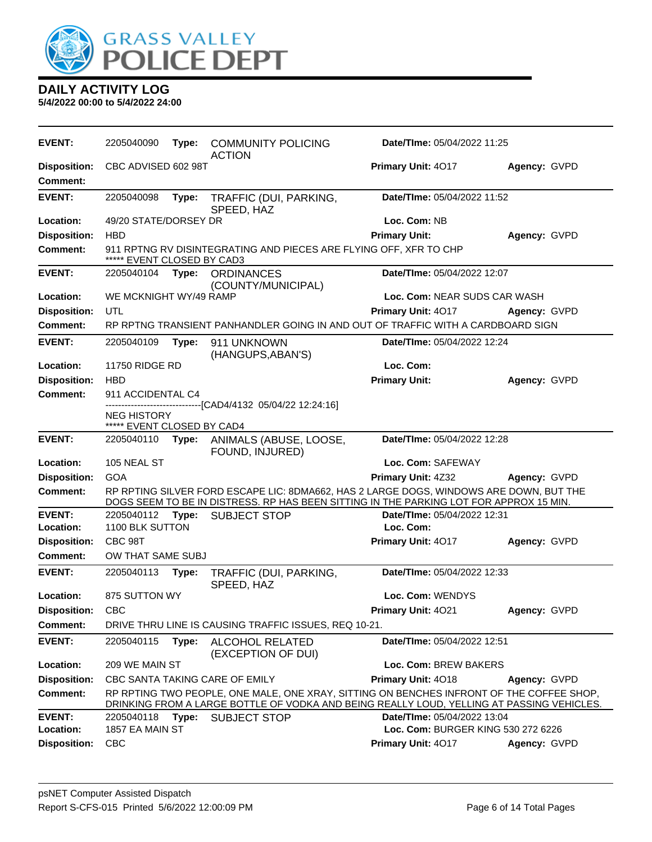

| <b>EVENT:</b>                          | 2205040090                                       | Type: | <b>COMMUNITY POLICING</b><br><b>ACTION</b>                                                                                                                                            | <b>Date/Time: 05/04/2022 11:25</b> |              |
|----------------------------------------|--------------------------------------------------|-------|---------------------------------------------------------------------------------------------------------------------------------------------------------------------------------------|------------------------------------|--------------|
| <b>Disposition:</b><br><b>Comment:</b> | CBC ADVISED 602 98T                              |       |                                                                                                                                                                                       | Primary Unit: 4017                 | Agency: GVPD |
| <b>EVENT:</b>                          | 2205040098                                       | Type: | TRAFFIC (DUI, PARKING,<br>SPEED, HAZ                                                                                                                                                  | Date/TIme: 05/04/2022 11:52        |              |
| Location:                              | 49/20 STATE/DORSEY DR                            |       |                                                                                                                                                                                       | Loc. Com: NB                       |              |
| <b>Disposition:</b>                    | <b>HBD</b>                                       |       |                                                                                                                                                                                       | <b>Primary Unit:</b>               | Agency: GVPD |
| <b>Comment:</b>                        | ***** EVENT CLOSED BY CAD3                       |       | 911 RPTNG RV DISINTEGRATING AND PIECES ARE FLYING OFF, XFR TO CHP                                                                                                                     |                                    |              |
| <b>EVENT:</b>                          | 2205040104                                       |       | Type: ORDINANCES                                                                                                                                                                      | Date/TIme: 05/04/2022 12:07        |              |
| Location:                              | WE MCKNIGHT WY/49 RAMP                           |       | (COUNTY/MUNICIPAL)                                                                                                                                                                    | Loc. Com: NEAR SUDS CAR WASH       |              |
| <b>Disposition:</b>                    | UTL                                              |       |                                                                                                                                                                                       | <b>Primary Unit: 4017</b>          | Agency: GVPD |
| <b>Comment:</b>                        |                                                  |       | RP RPTNG TRANSIENT PANHANDLER GOING IN AND OUT OF TRAFFIC WITH A CARDBOARD SIGN                                                                                                       |                                    |              |
|                                        |                                                  |       |                                                                                                                                                                                       |                                    |              |
| <b>EVENT:</b>                          | 2205040109                                       | Type: | 911 UNKNOWN<br>(HANGUPS, ABAN'S)                                                                                                                                                      | Date/Time: 05/04/2022 12:24        |              |
| Location:                              | 11750 RIDGE RD                                   |       |                                                                                                                                                                                       | Loc. Com:                          |              |
| <b>Disposition:</b>                    | <b>HBD</b>                                       |       |                                                                                                                                                                                       | <b>Primary Unit:</b>               | Agency: GVPD |
| <b>Comment:</b>                        | 911 ACCIDENTAL C4                                |       | -----------[CAD4/4132 05/04/22 12:24:16]                                                                                                                                              |                                    |              |
|                                        | <b>NEG HISTORY</b><br>***** EVENT CLOSED BY CAD4 |       |                                                                                                                                                                                       |                                    |              |
| <b>EVENT:</b>                          | 2205040110                                       |       | Type: ANIMALS (ABUSE, LOOSE,<br>FOUND, INJURED)                                                                                                                                       | Date/TIme: 05/04/2022 12:28        |              |
| Location:                              | 105 NEAL ST                                      |       |                                                                                                                                                                                       | Loc. Com: SAFEWAY                  |              |
| <b>Disposition:</b>                    | <b>GOA</b>                                       |       |                                                                                                                                                                                       | Primary Unit: 4Z32                 | Agency: GVPD |
| <b>Comment:</b>                        |                                                  |       | RP RPTING SILVER FORD ESCAPE LIC: 8DMA662, HAS 2 LARGE DOGS, WINDOWS ARE DOWN, BUT THE<br>DOGS SEEM TO BE IN DISTRESS. RP HAS BEEN SITTING IN THE PARKING LOT FOR APPROX 15 MIN.      |                                    |              |
| <b>EVENT:</b>                          | 2205040112                                       | Type: | <b>SUBJECT STOP</b>                                                                                                                                                                   | Date/TIme: 05/04/2022 12:31        |              |
| Location:                              | 1100 BLK SUTTON                                  |       |                                                                                                                                                                                       | Loc. Com:                          |              |
| <b>Disposition:</b>                    | CBC 98T                                          |       |                                                                                                                                                                                       | Primary Unit: 4017                 | Agency: GVPD |
| Comment:                               | OW THAT SAME SUBJ                                |       |                                                                                                                                                                                       |                                    |              |
| <b>EVENT:</b>                          | 2205040113                                       | Type: | TRAFFIC (DUI, PARKING,<br>SPEED, HAZ                                                                                                                                                  | Date/TIme: 05/04/2022 12:33        |              |
| <b>Location:</b>                       | 875 SUTTON WY                                    |       |                                                                                                                                                                                       | Loc. Com: WENDYS                   |              |
| <b>Disposition:</b>                    | <b>CBC</b>                                       |       |                                                                                                                                                                                       | Primary Unit: 4021                 | Agency: GVPD |
| <b>Comment:</b>                        |                                                  |       | DRIVE THRU LINE IS CAUSING TRAFFIC ISSUES, REQ 10-21.                                                                                                                                 |                                    |              |
| <b>EVENT:</b>                          | 2205040115                                       | Type: | <b>ALCOHOL RELATED</b><br>(EXCEPTION OF DUI)                                                                                                                                          | Date/TIme: 05/04/2022 12:51        |              |
| Location:                              | 209 WE MAIN ST                                   |       |                                                                                                                                                                                       | Loc. Com: BREW BAKERS              |              |
| <b>Disposition:</b>                    |                                                  |       | CBC SANTA TAKING CARE OF EMILY                                                                                                                                                        | Primary Unit: 4018                 | Agency: GVPD |
| <b>Comment:</b>                        |                                                  |       | RP RPTING TWO PEOPLE, ONE MALE, ONE XRAY, SITTING ON BENCHES INFRONT OF THE COFFEE SHOP.<br>DRINKING FROM A LARGE BOTTLE OF VODKA AND BEING REALLY LOUD, YELLING AT PASSING VEHICLES. |                                    |              |
| <b>EVENT:</b>                          | 2205040118                                       | Type: | <b>SUBJECT STOP</b>                                                                                                                                                                   | Date/TIme: 05/04/2022 13:04        |              |
| Location:                              | 1857 EA MAIN ST                                  |       |                                                                                                                                                                                       | Loc. Com: BURGER KING 530 272 6226 |              |
| <b>Disposition:</b>                    | <b>CBC</b>                                       |       |                                                                                                                                                                                       | Primary Unit: 4017                 | Agency: GVPD |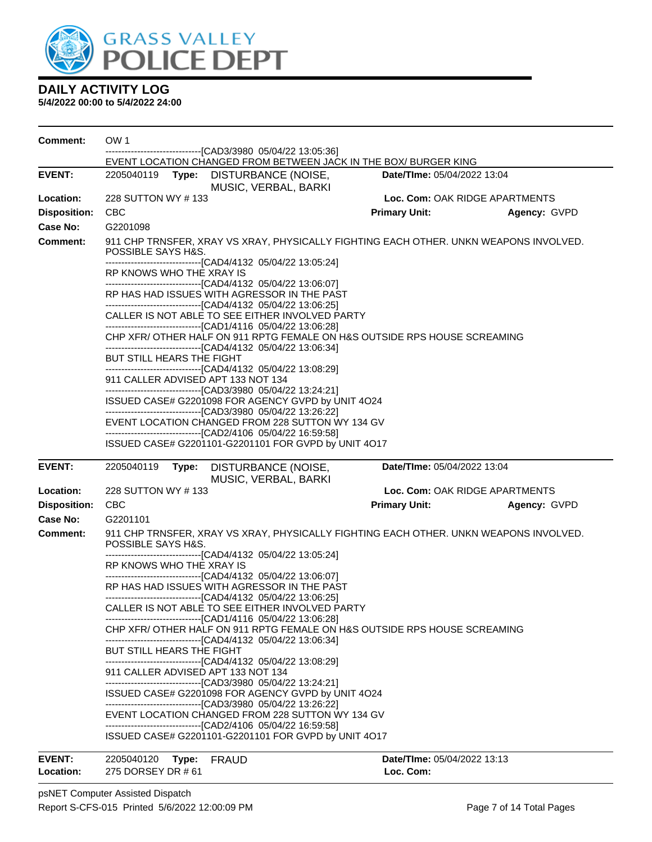

| <b>Comment:</b>                                                                                                                            | OW <sub>1</sub>                                                                                                     |                                                                                                                                                                                                                                                                                                                                                                                                                                                                                                                                                                                                                                                                                                                                                                                                                                                                                                                                                                                                                                             |                             |                                |  |  |  |
|--------------------------------------------------------------------------------------------------------------------------------------------|---------------------------------------------------------------------------------------------------------------------|---------------------------------------------------------------------------------------------------------------------------------------------------------------------------------------------------------------------------------------------------------------------------------------------------------------------------------------------------------------------------------------------------------------------------------------------------------------------------------------------------------------------------------------------------------------------------------------------------------------------------------------------------------------------------------------------------------------------------------------------------------------------------------------------------------------------------------------------------------------------------------------------------------------------------------------------------------------------------------------------------------------------------------------------|-----------------------------|--------------------------------|--|--|--|
|                                                                                                                                            |                                                                                                                     | --------------------------------[CAD3/3980 05/04/22 13:05:36]<br>EVENT LOCATION CHANGED FROM BETWEEN JACK IN THE BOX/ BURGER KING                                                                                                                                                                                                                                                                                                                                                                                                                                                                                                                                                                                                                                                                                                                                                                                                                                                                                                           |                             |                                |  |  |  |
| <b>EVENT:</b>                                                                                                                              | 2205040119<br>Type:                                                                                                 | DISTURBANCE (NOISE,<br>MUSIC, VERBAL, BARKI                                                                                                                                                                                                                                                                                                                                                                                                                                                                                                                                                                                                                                                                                                                                                                                                                                                                                                                                                                                                 | Date/TIme: 05/04/2022 13:04 |                                |  |  |  |
| Location:                                                                                                                                  | 228 SUTTON WY #133                                                                                                  |                                                                                                                                                                                                                                                                                                                                                                                                                                                                                                                                                                                                                                                                                                                                                                                                                                                                                                                                                                                                                                             |                             | Loc. Com: OAK RIDGE APARTMENTS |  |  |  |
| <b>Disposition:</b>                                                                                                                        | <b>CBC</b>                                                                                                          |                                                                                                                                                                                                                                                                                                                                                                                                                                                                                                                                                                                                                                                                                                                                                                                                                                                                                                                                                                                                                                             | <b>Primary Unit:</b>        | Agency: GVPD                   |  |  |  |
| Case No:                                                                                                                                   | G2201098                                                                                                            |                                                                                                                                                                                                                                                                                                                                                                                                                                                                                                                                                                                                                                                                                                                                                                                                                                                                                                                                                                                                                                             |                             |                                |  |  |  |
| Comment:                                                                                                                                   | POSSIBLE SAYS H&S.                                                                                                  | 911 CHP TRNSFER, XRAY VS XRAY, PHYSICALLY FIGHTING EACH OTHER. UNKN WEAPONS INVOLVED.                                                                                                                                                                                                                                                                                                                                                                                                                                                                                                                                                                                                                                                                                                                                                                                                                                                                                                                                                       |                             |                                |  |  |  |
|                                                                                                                                            | RP KNOWS WHO THE XRAY IS                                                                                            | -------------------------------[CAD4/4132 05/04/22 13:05:24]<br>-------------------------------[CAD4/4132 05/04/22 13:06:07]<br>RP HAS HAD ISSUES WITH AGRESSOR IN THE PAST<br>--------------------------------[CAD4/4132 05/04/22 13:06:25]<br>CALLER IS NOT ABLE TO SEE EITHER INVOLVED PARTY                                                                                                                                                                                                                                                                                                                                                                                                                                                                                                                                                                                                                                                                                                                                             |                             |                                |  |  |  |
| CHP XFR/ OTHER HALF ON 911 RPTG FEMALE ON H&S OUTSIDE RPS HOUSE SCREAMING<br>--------------------------------[CAD4/4132 05/04/22 13:06:34] |                                                                                                                     |                                                                                                                                                                                                                                                                                                                                                                                                                                                                                                                                                                                                                                                                                                                                                                                                                                                                                                                                                                                                                                             |                             |                                |  |  |  |
|                                                                                                                                            | BUT STILL HEARS THE FIGHT<br>-------------------------------[CAD4/4132 05/04/22 13:08:29]                           |                                                                                                                                                                                                                                                                                                                                                                                                                                                                                                                                                                                                                                                                                                                                                                                                                                                                                                                                                                                                                                             |                             |                                |  |  |  |
|                                                                                                                                            | 911 CALLER ADVISED APT 133 NOT 134                                                                                  | --------------------------------[CAD3/3980 05/04/22 13:24:21]                                                                                                                                                                                                                                                                                                                                                                                                                                                                                                                                                                                                                                                                                                                                                                                                                                                                                                                                                                               |                             |                                |  |  |  |
|                                                                                                                                            | ISSUED CASE# G2201098 FOR AGENCY GVPD by UNIT 4O24<br>--------------------------------[CAD3/3980 05/04/22 13:26:22] |                                                                                                                                                                                                                                                                                                                                                                                                                                                                                                                                                                                                                                                                                                                                                                                                                                                                                                                                                                                                                                             |                             |                                |  |  |  |
|                                                                                                                                            | EVENT LOCATION CHANGED FROM 228 SUTTON WY 134 GV<br>-------------------------------[CAD2/4106 05/04/22 16:59:58]    |                                                                                                                                                                                                                                                                                                                                                                                                                                                                                                                                                                                                                                                                                                                                                                                                                                                                                                                                                                                                                                             |                             |                                |  |  |  |
|                                                                                                                                            |                                                                                                                     | ISSUED CASE# G2201101-G2201101 FOR GVPD by UNIT 4O17                                                                                                                                                                                                                                                                                                                                                                                                                                                                                                                                                                                                                                                                                                                                                                                                                                                                                                                                                                                        |                             |                                |  |  |  |
| <b>EVENT:</b>                                                                                                                              | 2205040119<br>Type:                                                                                                 | DISTURBANCE (NOISE,<br>MUSIC, VERBAL, BARKI                                                                                                                                                                                                                                                                                                                                                                                                                                                                                                                                                                                                                                                                                                                                                                                                                                                                                                                                                                                                 | Date/TIme: 05/04/2022 13:04 |                                |  |  |  |
| Location:                                                                                                                                  | 228 SUTTON WY #133                                                                                                  |                                                                                                                                                                                                                                                                                                                                                                                                                                                                                                                                                                                                                                                                                                                                                                                                                                                                                                                                                                                                                                             |                             | Loc. Com: OAK RIDGE APARTMENTS |  |  |  |
| <b>Disposition:</b>                                                                                                                        | <b>CBC</b>                                                                                                          |                                                                                                                                                                                                                                                                                                                                                                                                                                                                                                                                                                                                                                                                                                                                                                                                                                                                                                                                                                                                                                             | <b>Primary Unit:</b>        | Agency: GVPD                   |  |  |  |
| Case No:                                                                                                                                   | G2201101                                                                                                            |                                                                                                                                                                                                                                                                                                                                                                                                                                                                                                                                                                                                                                                                                                                                                                                                                                                                                                                                                                                                                                             |                             |                                |  |  |  |
| <b>Comment:</b>                                                                                                                            | POSSIBLE SAYS H&S.<br>RP KNOWS WHO THE XRAY IS<br>BUT STILL HEARS THE FIGHT<br>911 CALLER ADVISED APT 133 NOT 134   | 911 CHP TRNSFER, XRAY VS XRAY, PHYSICALLY FIGHTING EACH OTHER. UNKN WEAPONS INVOLVED.<br>--------------------------------[CAD4/4132 05/04/22 13:05:24]<br>-------------------------------[CAD4/4132 05/04/22 13:06:07]<br>RP HAS HAD ISSUES WITH AGRESSOR IN THE PAST<br>--------------------------------[CAD4/4132 05/04/22 13:06:25]<br>CALLER IS NOT ABLE TO SEE EITHER INVOLVED PARTY<br>-------------------------------[CAD1/4116 05/04/22 13:06:28]<br>CHP XFR/ OTHER HALF ON 911 RPTG FEMALE ON H&S OUTSIDE RPS HOUSE SCREAMING<br>--------------------------------[CAD4/4132 05/04/22 13:06:34]<br>--------------------------------[CAD4/4132 05/04/22 13:08:29]<br>-------------------------------[CAD3/3980 05/04/22 13:24:21]<br>ISSUED CASE# G2201098 FOR AGENCY GVPD by UNIT 4O24<br>-------------------------------[CAD3/3980 05/04/22 13:26:22]<br>EVENT LOCATION CHANGED FROM 228 SUTTON WY 134 GV<br>--------------------------------[CAD2/4106 05/04/22 16:59:58]<br>ISSUED CASE# G2201101-G2201101 FOR GVPD by UNIT 4O17 |                             |                                |  |  |  |
| <b>EVENT:</b>                                                                                                                              | 2205040120<br>Type:                                                                                                 | <b>FRAUD</b>                                                                                                                                                                                                                                                                                                                                                                                                                                                                                                                                                                                                                                                                                                                                                                                                                                                                                                                                                                                                                                | Date/TIme: 05/04/2022 13:13 |                                |  |  |  |
| Location:                                                                                                                                  | 275 DORSEY DR # 61                                                                                                  |                                                                                                                                                                                                                                                                                                                                                                                                                                                                                                                                                                                                                                                                                                                                                                                                                                                                                                                                                                                                                                             | Loc. Com:                   |                                |  |  |  |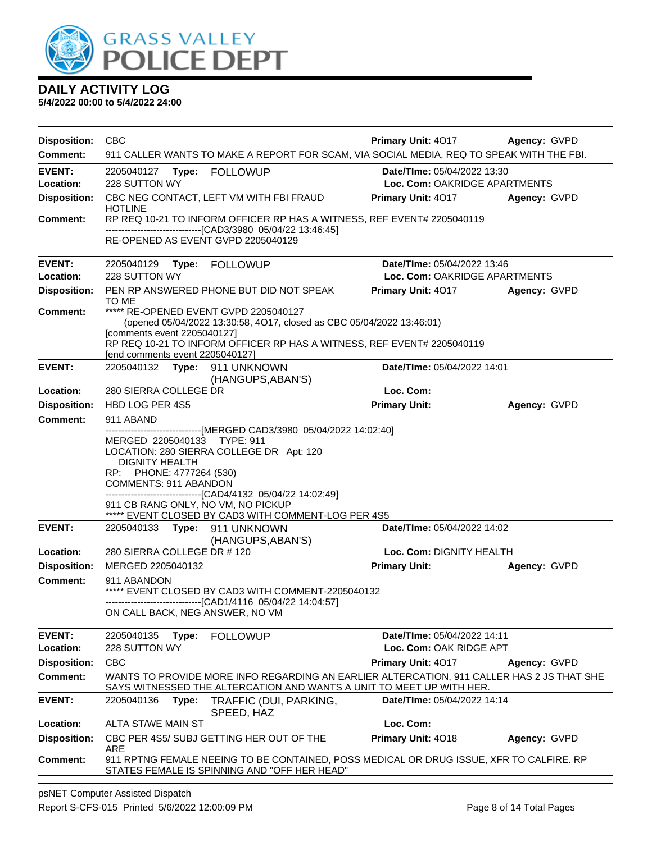

| <b>Disposition:</b>                    | <b>CBC</b>                                                                                                                                                                                                                                                                                                                                                                                        | <b>Primary Unit: 4017</b>                                    | Agency: GVPD |
|----------------------------------------|---------------------------------------------------------------------------------------------------------------------------------------------------------------------------------------------------------------------------------------------------------------------------------------------------------------------------------------------------------------------------------------------------|--------------------------------------------------------------|--------------|
| Comment:                               | 911 CALLER WANTS TO MAKE A REPORT FOR SCAM, VIA SOCIAL MEDIA, REQ TO SPEAK WITH THE FBI.                                                                                                                                                                                                                                                                                                          |                                                              |              |
| <b>EVENT:</b><br>Location:             | 228 SUTTON WY                                                                                                                                                                                                                                                                                                                                                                                     | Date/TIme: 05/04/2022 13:30<br>Loc. Com: OAKRIDGE APARTMENTS |              |
| <b>Disposition:</b>                    | CBC NEG CONTACT, LEFT VM WITH FBI FRAUD<br><b>HOTLINE</b>                                                                                                                                                                                                                                                                                                                                         | <b>Primary Unit: 4017 Agency: GVPD</b>                       |              |
| <b>Comment:</b>                        | RP REQ 10-21 TO INFORM OFFICER RP HAS A WITNESS, REF EVENT# 2205040119<br>-------------------------------[CAD3/3980 05/04/22 13:46:45]<br>RE-OPENED AS EVENT GVPD 2205040129                                                                                                                                                                                                                      |                                                              |              |
| <b>EVENT:</b><br>Location:             | 228 SUTTON WY                                                                                                                                                                                                                                                                                                                                                                                     | Date/TIme: 05/04/2022 13:46<br>Loc. Com: OAKRIDGE APARTMENTS |              |
| <b>Disposition:</b>                    | PEN RP ANSWERED PHONE BUT DID NOT SPEAK<br>TO ME                                                                                                                                                                                                                                                                                                                                                  | <b>Primary Unit: 4017</b>                                    | Agency: GVPD |
| <b>Comment:</b>                        | ***** RE-OPENED EVENT GVPD 2205040127<br>(opened 05/04/2022 13:30:58, 4O17, closed as CBC 05/04/2022 13:46:01)<br>[comments event 2205040127]<br>RP REQ 10-21 TO INFORM OFFICER RP HAS A WITNESS, REF EVENT# 2205040119                                                                                                                                                                           |                                                              |              |
| <b>EVENT:</b>                          | [end comments event 2205040127]<br>2205040132 Type: 911 UNKNOWN                                                                                                                                                                                                                                                                                                                                   | Date/TIme: 05/04/2022 14:01                                  |              |
| Location:                              | (HANGUPS, ABAN'S)<br>280 SIERRA COLLEGE DR                                                                                                                                                                                                                                                                                                                                                        | Loc. Com:                                                    |              |
| <b>Disposition:</b>                    | HBD LOG PER 4S5                                                                                                                                                                                                                                                                                                                                                                                   | <b>Primary Unit:</b>                                         | Agency: GVPD |
| <b>Comment:</b>                        | 911 ABAND                                                                                                                                                                                                                                                                                                                                                                                         |                                                              |              |
|                                        | ------------------------------[MERGED CAD3/3980 05/04/2022 14:02:40]<br>MERGED 2205040133 TYPE: 911<br>LOCATION: 280 SIERRA COLLEGE DR Apt: 120<br><b>DIGNITY HEALTH</b><br>RP: PHONE: 4777264 (530)<br><b>COMMENTS: 911 ABANDON</b><br>-------------------------------[CAD4/4132 05/04/22 14:02:49]<br>911 CB RANG ONLY, NO VM, NO PICKUP<br>***** EVENT CLOSED BY CAD3 WITH COMMENT-LOG PER 4S5 |                                                              |              |
| <b>EVENT:</b>                          | 2205040133 Type: 911 UNKNOWN<br>(HANGUPS, ABAN'S)                                                                                                                                                                                                                                                                                                                                                 | Date/TIme: 05/04/2022 14:02                                  |              |
| Location:                              | 280 SIERRA COLLEGE DR #120                                                                                                                                                                                                                                                                                                                                                                        | Loc. Com: DIGNITY HEALTH                                     |              |
| <b>Disposition:</b>                    | MERGED 2205040132                                                                                                                                                                                                                                                                                                                                                                                 | <b>Primary Unit:</b>                                         | Agency: GVPD |
| <b>Comment:</b>                        | 911 ABANDON<br>***** EVENT CLOSED BY CAD3 WITH COMMENT-2205040132<br>-------------------------------[CAD1/4116 05/04/22 14:04:57]<br>ON CALL BACK, NEG ANSWER, NO VM                                                                                                                                                                                                                              |                                                              |              |
| <b>EVENT:</b>                          | 2205040135<br>Type:<br><b>FOLLOWUP</b>                                                                                                                                                                                                                                                                                                                                                            | Date/TIme: 05/04/2022 14:11                                  |              |
| Location:                              | 228 SUTTON WY                                                                                                                                                                                                                                                                                                                                                                                     | Loc. Com: OAK RIDGE APT                                      |              |
| <b>Disposition:</b><br><b>Comment:</b> | <b>CBC</b><br>WANTS TO PROVIDE MORE INFO REGARDING AN EARLIER ALTERCATION, 911 CALLER HAS 2 JS THAT SHE                                                                                                                                                                                                                                                                                           | Primary Unit: 4017                                           | Agency: GVPD |
|                                        | SAYS WITNESSED THE ALTERCATION AND WANTS A UNIT TO MEET UP WITH HER.                                                                                                                                                                                                                                                                                                                              |                                                              |              |
| <b>EVENT:</b>                          | 2205040136<br>TRAFFIC (DUI, PARKING,<br>Type:<br>SPEED, HAZ                                                                                                                                                                                                                                                                                                                                       | Date/TIme: 05/04/2022 14:14                                  |              |
| Location:                              | ALTA ST/WE MAIN ST                                                                                                                                                                                                                                                                                                                                                                                | Loc. Com:                                                    |              |
| <b>Disposition:</b>                    | CBC PER 4S5/ SUBJ GETTING HER OUT OF THE<br>ARE                                                                                                                                                                                                                                                                                                                                                   | Primary Unit: 4018                                           | Agency: GVPD |
| <b>Comment:</b>                        | 911 RPTNG FEMALE NEEING TO BE CONTAINED, POSS MEDICAL OR DRUG ISSUE, XFR TO CALFIRE. RP<br>STATES FEMALE IS SPINNING AND "OFF HER HEAD"                                                                                                                                                                                                                                                           |                                                              |              |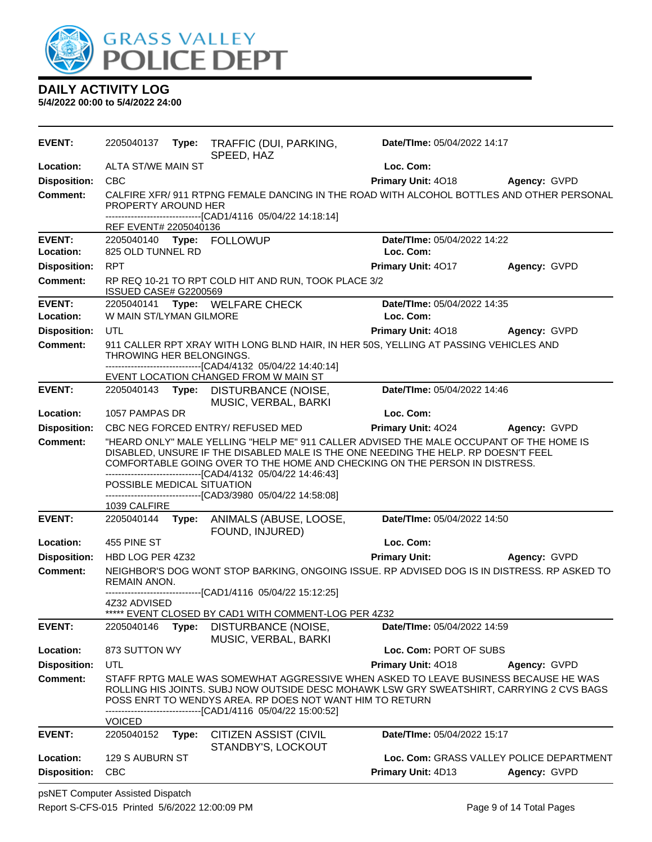

| <b>EVENT:</b>              | 2205040137                                 |       | Type: TRAFFIC (DUI, PARKING,<br>SPEED, HAZ                                                                                                                                                                                                                                                                                                                                           | Date/TIme: 05/04/2022 14:17              |                                          |
|----------------------------|--------------------------------------------|-------|--------------------------------------------------------------------------------------------------------------------------------------------------------------------------------------------------------------------------------------------------------------------------------------------------------------------------------------------------------------------------------------|------------------------------------------|------------------------------------------|
| Location:                  | ALTA ST/WE MAIN ST                         |       |                                                                                                                                                                                                                                                                                                                                                                                      | Loc. Com:                                |                                          |
| <b>Disposition:</b>        | <b>CBC</b>                                 |       |                                                                                                                                                                                                                                                                                                                                                                                      | Primary Unit: 4018                       | <b>Agency: GVPD</b>                      |
| <b>Comment:</b>            | PROPERTY AROUND HER                        |       | CALFIRE XFR/ 911 RTPNG FEMALE DANCING IN THE ROAD WITH ALCOHOL BOTTLES AND OTHER PERSONAL<br>------------------------------[CAD1/4116 05/04/22 14:18:14]                                                                                                                                                                                                                             |                                          |                                          |
|                            | REF EVENT# 2205040136                      |       |                                                                                                                                                                                                                                                                                                                                                                                      |                                          |                                          |
| <b>EVENT:</b><br>Location: | 825 OLD TUNNEL RD                          |       | 2205040140 Type: FOLLOWUP                                                                                                                                                                                                                                                                                                                                                            | Date/TIme: 05/04/2022 14:22<br>Loc. Com: |                                          |
|                            |                                            |       |                                                                                                                                                                                                                                                                                                                                                                                      |                                          |                                          |
| <b>Disposition:</b>        | <b>RPT</b>                                 |       |                                                                                                                                                                                                                                                                                                                                                                                      | Primary Unit: 4017                       | Agency: GVPD                             |
| Comment:                   | ISSUED CASE# G2200569                      |       | RP REQ 10-21 TO RPT COLD HIT AND RUN, TOOK PLACE 3/2                                                                                                                                                                                                                                                                                                                                 |                                          |                                          |
| <b>EVENT:</b>              |                                            |       | 2205040141 Type: WELFARE CHECK                                                                                                                                                                                                                                                                                                                                                       | Date/TIme: 05/04/2022 14:35              |                                          |
| Location:                  | W MAIN ST/LYMAN GILMORE                    |       |                                                                                                                                                                                                                                                                                                                                                                                      | Loc. Com:                                |                                          |
| <b>Disposition:</b>        | <b>UTL</b>                                 |       |                                                                                                                                                                                                                                                                                                                                                                                      | <b>Primary Unit: 4018</b>                | <b>Agency: GVPD</b>                      |
| Comment:                   | THROWING HER BELONGINGS.                   |       | 911 CALLER RPT XRAY WITH LONG BLND HAIR, IN HER 50S, YELLING AT PASSING VEHICLES AND<br>-------------------------[CAD4/4132 05/04/22 14:40:14]<br>EVENT LOCATION CHANGED FROM W MAIN ST                                                                                                                                                                                              |                                          |                                          |
| <b>EVENT:</b>              | 2205040143 <b>Type:</b>                    |       | DISTURBANCE (NOISE,<br>MUSIC, VERBAL, BARKI                                                                                                                                                                                                                                                                                                                                          | Date/TIme: 05/04/2022 14:46              |                                          |
| Location:                  | 1057 PAMPAS DR                             |       |                                                                                                                                                                                                                                                                                                                                                                                      | Loc. Com:                                |                                          |
| <b>Disposition:</b>        |                                            |       | CBC NEG FORCED ENTRY/ REFUSED MED                                                                                                                                                                                                                                                                                                                                                    | Primary Unit: 4024                       | Agency: GVPD                             |
| <b>Comment:</b>            | POSSIBLE MEDICAL SITUATION<br>1039 CALFIRE |       | "HEARD ONLY" MALE YELLING "HELP ME" 911 CALLER ADVISED THE MALE OCCUPANT OF THE HOME IS<br>DISABLED, UNSURE IF THE DISABLED MALE IS THE ONE NEEDING THE HELP. RP DOESN'T FEEL<br>COMFORTABLE GOING OVER TO THE HOME AND CHECKING ON THE PERSON IN DISTRESS.<br>-------------------------[CAD4/4132 05/04/22 14:46:43]<br>------------------------------[CAD3/3980 05/04/22 14:58:08] |                                          |                                          |
| <b>EVENT:</b>              | 2205040144                                 | Type: | ANIMALS (ABUSE, LOOSE,                                                                                                                                                                                                                                                                                                                                                               | Date/TIme: 05/04/2022 14:50              |                                          |
|                            |                                            |       | FOUND, INJURED)                                                                                                                                                                                                                                                                                                                                                                      |                                          |                                          |
| Location:                  | 455 PINE ST                                |       |                                                                                                                                                                                                                                                                                                                                                                                      | Loc. Com:                                |                                          |
| <b>Disposition:</b>        | HBD LOG PER 4Z32                           |       |                                                                                                                                                                                                                                                                                                                                                                                      | <b>Primary Unit:</b>                     | Agency: GVPD                             |
| <b>Comment:</b>            | REMAIN ANON.                               |       | NEIGHBOR'S DOG WONT STOP BARKING, ONGOING ISSUE. RP ADVISED DOG IS IN DISTRESS. RP ASKED TO                                                                                                                                                                                                                                                                                          |                                          |                                          |
|                            |                                            |       | -----------------------------[CAD1/4116_05/04/22 15:12:25]                                                                                                                                                                                                                                                                                                                           |                                          |                                          |
|                            | 4Z32 ADVISED                               |       | ***** EVENT CLOSED BY CAD1 WITH COMMENT-LOG PER 4Z32                                                                                                                                                                                                                                                                                                                                 |                                          |                                          |
| <b>EVENT:</b>              | 2205040146                                 | Type: | DISTURBANCE (NOISE,<br>MUSIC, VERBAL, BARKI                                                                                                                                                                                                                                                                                                                                          | Date/TIme: 05/04/2022 14:59              |                                          |
| Location:                  | 873 SUTTON WY                              |       |                                                                                                                                                                                                                                                                                                                                                                                      | Loc. Com: PORT OF SUBS                   |                                          |
| <b>Disposition:</b>        | UTL                                        |       |                                                                                                                                                                                                                                                                                                                                                                                      | Primary Unit: 4018                       | Agency: GVPD                             |
| <b>Comment:</b>            |                                            |       | STAFF RPTG MALE WAS SOMEWHAT AGGRESSIVE WHEN ASKED TO LEAVE BUSINESS BECAUSE HE WAS<br>ROLLING HIS JOINTS. SUBJ NOW OUTSIDE DESC MOHAWK LSW GRY SWEATSHIRT, CARRYING 2 CVS BAGS<br>POSS ENRT TO WENDYS AREA. RP DOES NOT WANT HIM TO RETURN<br>-------------------------------[CAD1/4116 05/04/22 15:00:52]                                                                          |                                          |                                          |
| <b>EVENT:</b>              | <b>VOICED</b><br>2205040152                |       |                                                                                                                                                                                                                                                                                                                                                                                      | Date/TIme: 05/04/2022 15:17              |                                          |
|                            |                                            | Type: | <b>CITIZEN ASSIST (CIVIL</b><br>STANDBY'S, LOCKOUT                                                                                                                                                                                                                                                                                                                                   |                                          |                                          |
| Location:                  | 129 S AUBURN ST                            |       |                                                                                                                                                                                                                                                                                                                                                                                      |                                          | Loc. Com: GRASS VALLEY POLICE DEPARTMENT |
| <b>Disposition:</b>        | <b>CBC</b>                                 |       |                                                                                                                                                                                                                                                                                                                                                                                      | <b>Primary Unit: 4D13</b>                | Agency: GVPD                             |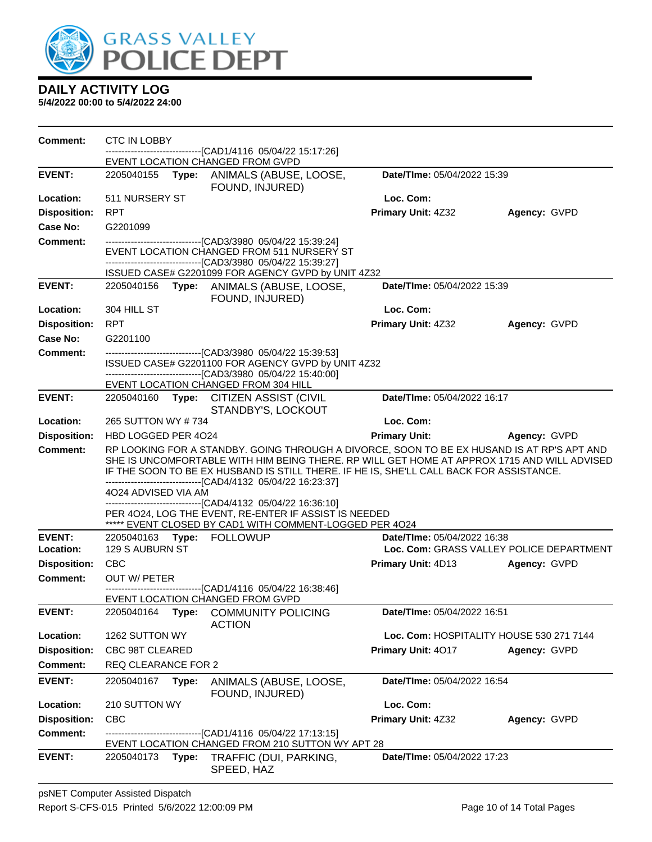

**5/4/2022 00:00 to 5/4/2022 24:00**

**Comment:** CTC IN LOBBY ------------------------------[CAD1/4116 05/04/22 15:17:26] EVENT LOCATION CHANGED FROM GVPD **EVENT:** 2205040155 **Type:** ANIMALS (ABUSE, LOOSE, FOUND, INJURED) **Date/TIme:** 05/04/2022 15:39 **Location:** 511 NURSERY ST **Loc. Com: Disposition:** RPT **Primary Unit:** 4Z32 **Agency:** GVPD **Case No:** G2201099 **Comment:** ------------------------------[CAD3/3980 05/04/22 15:39:24] EVENT LOCATION CHANGED FROM 511 NURSERY ST ------------------------------[CAD3/3980 05/04/22 15:39:27] ISSUED CASE# G2201099 FOR AGENCY GVPD by UNIT 4Z32 **EVENT:** 2205040156 **Type:** ANIMALS (ABUSE, LOOSE, FOUND, INJURED) **Date/TIme:** 05/04/2022 15:39 **Location:** 304 HILL ST **Loc. Com: Disposition:** RPT **Primary Unit:** 4Z32 **Agency:** GVPD **Case No:** G2201100 **Comment:** ------------------------------[CAD3/3980 05/04/22 15:39:53] ISSUED CASE# G2201100 FOR AGENCY GVPD by UNIT 4Z32 ------------------------------[CAD3/3980 05/04/22 15:40:00] EVENT LOCATION CHANGED FROM 304 HILL **EVENT:** 2205040160 **Type:** CITIZEN ASSIST (CIVIL STANDBY'S, LOCKOUT **Date/TIme:** 05/04/2022 16:17 **Location:** 265 SUTTON WY # 734 **Loc. Com: Disposition:** HBD LOGGED PER 4O24 **Primary Unit: Agency:** GVPD **Comment:** RP LOOKING FOR A STANDBY. GOING THROUGH A DIVORCE, SOON TO BE EX HUSAND IS AT RP'S APT AND SHE IS UNCOMFORTABLE WITH HIM BEING THERE. RP WILL GET HOME AT APPROX 1715 AND WILL ADVISED IF THE SOON TO BE EX HUSBAND IS STILL THERE. IF HE IS, SHE'LL CALL BACK FOR ASSISTANCE. ------------------------------[CAD4/4132 05/04/22 16:23:37] 4O24 ADVISED VIA AM ------------------------------[CAD4/4132 05/04/22 16:36:10] PER 4O24, LOG THE EVENT, RE-ENTER IF ASSIST IS NEEDED \*\*\*\*\* EVENT CLOSED BY CAD1 WITH COMMENT-LOGGED PER 4O24 **EVENT:** 2205040163 **Type:** FOLLOWUP **Date/TIme:** 05/04/2022 16:38 **Location:** 129 S AUBURN ST **Loc. Com:** GRASS VALLEY POLICE DEPARTMENT **Disposition:** CBC **Primary Unit:** 4D13 **Agency:** GVPD **Comment:** OUT W/ PETER ------------------------------[CAD1/4116 05/04/22 16:38:46] EVENT LOCATION CHANGED FROM GVPD **EVENT:** 2205040164 **Type:** COMMUNITY POLICING ACTION **Date/TIme:** 05/04/2022 16:51 **Location:** 1262 SUTTON WY **Loc. Com:** HOSPITALITY HOUSE 530 271 7144 **Disposition:** CBC 98T CLEARED **Primary Unit:** 4O17 **Agency:** GVPD **Comment:** REQ CLEARANCE FOR 2 **EVENT:** 2205040167 **Type:** ANIMALS (ABUSE, LOOSE, FOUND, INJURED) **Date/TIme:** 05/04/2022 16:54 **Location:** 210 SUTTON WY **Loc. Com: Disposition:** CBC **Primary Unit:** 4Z32 **Agency:** GVPD **Comment:** ------------------------------[CAD1/4116 05/04/22 17:13:15] EVENT LOCATION CHANGED FROM 210 SUTTON WY APT 28 **EVENT:** 2205040173 **Type:** TRAFFIC (DUI, PARKING, SPEED, HAZ **Date/TIme:** 05/04/2022 17:23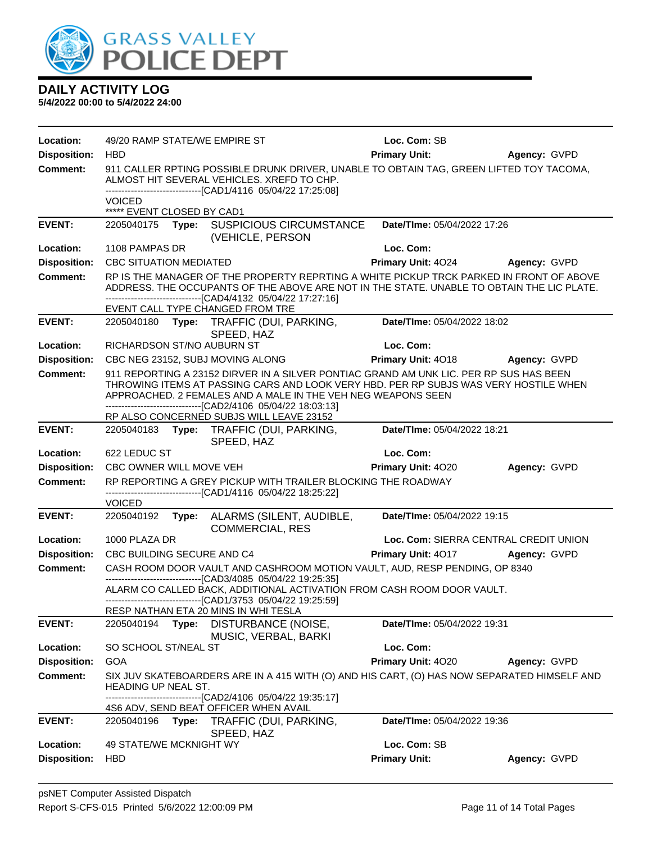

| Location:           | 49/20 RAMP STATE/WE EMPIRE ST               |                                                                                                                                                                                                                                                                                                                                                             | Loc. Com: SB                          |              |
|---------------------|---------------------------------------------|-------------------------------------------------------------------------------------------------------------------------------------------------------------------------------------------------------------------------------------------------------------------------------------------------------------------------------------------------------------|---------------------------------------|--------------|
| <b>Disposition:</b> | <b>HBD</b>                                  |                                                                                                                                                                                                                                                                                                                                                             | <b>Primary Unit:</b>                  | Agency: GVPD |
| <b>Comment:</b>     |                                             | 911 CALLER RPTING POSSIBLE DRUNK DRIVER, UNABLE TO OBTAIN TAG, GREEN LIFTED TOY TACOMA,<br>ALMOST HIT SEVERAL VEHICLES. XREFD TO CHP.<br>-------------------------------[CAD1/4116 05/04/22 17:25:08]                                                                                                                                                       |                                       |              |
|                     | <b>VOICED</b><br>***** EVENT CLOSED BY CAD1 |                                                                                                                                                                                                                                                                                                                                                             |                                       |              |
| <b>EVENT:</b>       |                                             | 2205040175 Type: SUSPICIOUS CIRCUMSTANCE<br>(VEHICLE, PERSON                                                                                                                                                                                                                                                                                                | Date/TIme: 05/04/2022 17:26           |              |
| Location:           | 1108 PAMPAS DR                              |                                                                                                                                                                                                                                                                                                                                                             | Loc. Com:                             |              |
| <b>Disposition:</b> | <b>CBC SITUATION MEDIATED</b>               |                                                                                                                                                                                                                                                                                                                                                             | Primary Unit: 4024                    | Agency: GVPD |
| <b>Comment:</b>     |                                             | RP IS THE MANAGER OF THE PROPERTY REPRTING A WHITE PICKUP TRCK PARKED IN FRONT OF ABOVE<br>ADDRESS. THE OCCUPANTS OF THE ABOVE ARE NOT IN THE STATE. UNABLE TO OBTAIN THE LIC PLATE.<br>-------------------------------[CAD4/4132 05/04/22 17:27:16]<br>EVENT CALL TYPE CHANGED FROM TRE                                                                    |                                       |              |
| <b>EVENT:</b>       |                                             | 2205040180 Type: TRAFFIC (DUI, PARKING,<br>SPEED, HAZ                                                                                                                                                                                                                                                                                                       | Date/TIme: 05/04/2022 18:02           |              |
| Location:           | RICHARDSON ST/NO AUBURN ST                  |                                                                                                                                                                                                                                                                                                                                                             | Loc. Com:                             |              |
| <b>Disposition:</b> |                                             | CBC NEG 23152, SUBJ MOVING ALONG                                                                                                                                                                                                                                                                                                                            | Primary Unit: 4018 Agency: GVPD       |              |
| <b>Comment:</b>     |                                             | 911 REPORTING A 23152 DIRVER IN A SILVER PONTIAC GRAND AM UNK LIC. PER RP SUS HAS BEEN<br>THROWING ITEMS AT PASSING CARS AND LOOK VERY HBD. PER RP SUBJS WAS VERY HOSTILE WHEN<br>APPROACHED. 2 FEMALES AND A MALE IN THE VEH NEG WEAPONS SEEN<br>--------------------------------[CAD2/4106 05/04/22 18:03:13]<br>RP ALSO CONCERNED SUBJS WILL LEAVE 23152 |                                       |              |
| <b>EVENT:</b>       |                                             | 2205040183 Type: TRAFFIC (DUI, PARKING,                                                                                                                                                                                                                                                                                                                     | Date/TIme: 05/04/2022 18:21           |              |
|                     |                                             | SPEED, HAZ                                                                                                                                                                                                                                                                                                                                                  |                                       |              |
| Location:           | 622 LEDUC ST                                |                                                                                                                                                                                                                                                                                                                                                             | Loc. Com:                             |              |
| <b>Disposition:</b> | CBC OWNER WILL MOVE VEH                     |                                                                                                                                                                                                                                                                                                                                                             | Primary Unit: 4020                    | Agency: GVPD |
| <b>Comment:</b>     | <b>VOICED</b>                               | RP REPORTING A GREY PICKUP WITH TRAILER BLOCKING THE ROADWAY<br>-------------------------------[CAD1/4116 05/04/22 18:25:22]                                                                                                                                                                                                                                |                                       |              |
| <b>EVENT:</b>       | 2205040192                                  | Type: ALARMS (SILENT, AUDIBLE,<br><b>COMMERCIAL, RES</b>                                                                                                                                                                                                                                                                                                    | Date/TIme: 05/04/2022 19:15           |              |
| Location:           | 1000 PLAZA DR                               |                                                                                                                                                                                                                                                                                                                                                             | Loc. Com: SIERRA CENTRAL CREDIT UNION |              |
| <b>Disposition:</b> | CBC BUILDING SECURE AND C4                  |                                                                                                                                                                                                                                                                                                                                                             | Primary Unit: 4017                    | Agency: GVPD |
| <b>Comment:</b>     |                                             | CASH ROOM DOOR VAULT AND CASHROOM MOTION VAULT, AUD, RESP PENDING, OP 8340                                                                                                                                                                                                                                                                                  |                                       |              |
|                     |                                             | ----------------------------------[CAD3/4085 05/04/22 19:25:35]<br>ALARM CO CALLED BACK, ADDITIONAL ACTIVATION FROM CASH ROOM DOOR VAULT.<br>-------------------------------[CAD1/3753 05/04/22 19:25:59]                                                                                                                                                   |                                       |              |
|                     |                                             | RESP NATHAN ETA 20 MINS IN WHI TESLA                                                                                                                                                                                                                                                                                                                        |                                       |              |
| <b>EVENT:</b>       | 2205040194<br>Type:                         | DISTURBANCE (NOISE,<br>MUSIC, VERBAL, BARKI                                                                                                                                                                                                                                                                                                                 | Date/TIme: 05/04/2022 19:31           |              |
| Location:           | SO SCHOOL ST/NEAL ST                        |                                                                                                                                                                                                                                                                                                                                                             | Loc. Com:                             |              |
| <b>Disposition:</b> | <b>GOA</b>                                  |                                                                                                                                                                                                                                                                                                                                                             | Primary Unit: 4020                    | Agency: GVPD |
| <b>Comment:</b>     | <b>HEADING UP NEAL ST.</b>                  | SIX JUV SKATEBOARDERS ARE IN A 415 WITH (O) AND HIS CART, (O) HAS NOW SEPARATED HIMSELF AND<br>-------------------------------[CAD2/4106 05/04/22 19:35:17]                                                                                                                                                                                                 |                                       |              |
|                     |                                             | 4S6 ADV, SEND BEAT OFFICER WHEN AVAIL                                                                                                                                                                                                                                                                                                                       |                                       |              |
| <b>EVENT:</b>       | 2205040196<br>Type:                         | TRAFFIC (DUI, PARKING,<br>SPEED, HAZ                                                                                                                                                                                                                                                                                                                        | Date/TIme: 05/04/2022 19:36           |              |
| Location:           | <b>49 STATE/WE MCKNIGHT WY</b>              |                                                                                                                                                                                                                                                                                                                                                             | Loc. Com: SB                          |              |
| <b>Disposition:</b> | <b>HBD</b>                                  |                                                                                                                                                                                                                                                                                                                                                             | <b>Primary Unit:</b>                  | Agency: GVPD |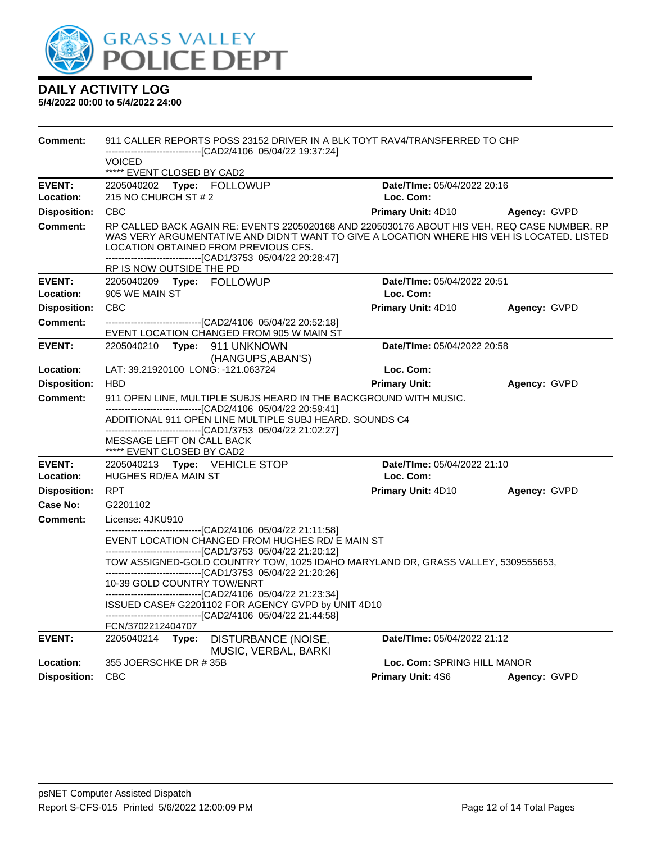

| Comment:            | 911 CALLER REPORTS POSS 23152 DRIVER IN A BLK TOYT RAV4/TRANSFERRED TO CHP                                                                                                                                                                                                                                                     |                                          |              |  |  |
|---------------------|--------------------------------------------------------------------------------------------------------------------------------------------------------------------------------------------------------------------------------------------------------------------------------------------------------------------------------|------------------------------------------|--------------|--|--|
|                     | ---------------------[CAD2/4106_05/04/22 19:37:24]<br><b>VOICED</b>                                                                                                                                                                                                                                                            |                                          |              |  |  |
|                     | ***** EVENT CLOSED BY CAD2                                                                                                                                                                                                                                                                                                     |                                          |              |  |  |
| <b>EVENT:</b>       | 2205040202 Type: FOLLOWUP                                                                                                                                                                                                                                                                                                      | Date/Time: 05/04/2022 20:16<br>Loc. Com: |              |  |  |
| Location:           | 215 NO CHURCH ST # 2                                                                                                                                                                                                                                                                                                           |                                          |              |  |  |
| <b>Disposition:</b> | <b>CBC</b>                                                                                                                                                                                                                                                                                                                     | Primary Unit: 4D10                       | Agency: GVPD |  |  |
| <b>Comment:</b>     | RP CALLED BACK AGAIN RE: EVENTS 2205020168 AND 2205030176 ABOUT HIS VEH, REQ CASE NUMBER. RP<br>WAS VERY ARGUMENTATIVE AND DIDN'T WANT TO GIVE A LOCATION WHERE HIS VEH IS LOCATED. LISTED<br>LOCATION OBTAINED FROM PREVIOUS CFS.<br>-------------------------------[CAD1/3753 05/04/22 20:28:47]<br>RP IS NOW OUTSIDE THE PD |                                          |              |  |  |
| <b>EVENT:</b>       | 2205040209<br>Type: FOLLOWUP                                                                                                                                                                                                                                                                                                   | Date/TIme: 05/04/2022 20:51              |              |  |  |
| Location:           | 905 WE MAIN ST                                                                                                                                                                                                                                                                                                                 | Loc. Com:                                |              |  |  |
| <b>Disposition:</b> | <b>CBC</b>                                                                                                                                                                                                                                                                                                                     | <b>Primary Unit: 4D10</b>                | Agency: GVPD |  |  |
| Comment:            | -------------------------------[CAD2/4106 05/04/22 20:52:18]<br>EVENT LOCATION CHANGED FROM 905 W MAIN ST                                                                                                                                                                                                                      |                                          |              |  |  |
| <b>EVENT:</b>       | 2205040210<br>Type: 911 UNKNOWN                                                                                                                                                                                                                                                                                                | Date/TIme: 05/04/2022 20:58              |              |  |  |
|                     | (HANGUPS, ABAN'S)                                                                                                                                                                                                                                                                                                              |                                          |              |  |  |
| Location:           | LAT: 39.21920100 LONG: -121.063724                                                                                                                                                                                                                                                                                             | Loc. Com:                                |              |  |  |
| <b>Disposition:</b> | <b>HBD</b>                                                                                                                                                                                                                                                                                                                     | <b>Primary Unit:</b>                     | Agency: GVPD |  |  |
| Comment:            | 911 OPEN LINE, MULTIPLE SUBJS HEARD IN THE BACKGROUND WITH MUSIC.                                                                                                                                                                                                                                                              |                                          |              |  |  |
|                     | -------------------------[CAD2/4106_05/04/22 20:59:41]<br>ADDITIONAL 911 OPEN LINE MULTIPLE SUBJ HEARD. SOUNDS C4                                                                                                                                                                                                              |                                          |              |  |  |
|                     | ------------------------------[CAD1/3753_05/04/22 21:02:27]                                                                                                                                                                                                                                                                    |                                          |              |  |  |
|                     | MESSAGE LEFT ON CALL BACK<br>***** EVENT CLOSED BY CAD2                                                                                                                                                                                                                                                                        |                                          |              |  |  |
| <b>EVENT:</b>       | 2205040213 Type: VEHICLE STOP                                                                                                                                                                                                                                                                                                  | Date/TIme: 05/04/2022 21:10              |              |  |  |
| Location:           | <b>HUGHES RD/EA MAIN ST</b>                                                                                                                                                                                                                                                                                                    | Loc. Com:                                |              |  |  |
| <b>Disposition:</b> | <b>RPT</b>                                                                                                                                                                                                                                                                                                                     | Primary Unit: 4D10                       | Agency: GVPD |  |  |
| Case No:            | G2201102                                                                                                                                                                                                                                                                                                                       |                                          |              |  |  |
| <b>Comment:</b>     | License: 4JKU910                                                                                                                                                                                                                                                                                                               |                                          |              |  |  |
|                     | -------------------------[CAD2/4106_05/04/22 21:11:58]                                                                                                                                                                                                                                                                         |                                          |              |  |  |
|                     | EVENT LOCATION CHANGED FROM HUGHES RD/ E MAIN ST<br>---------------------------[CAD1/3753_05/04/22_21:20:12]                                                                                                                                                                                                                   |                                          |              |  |  |
|                     | TOW ASSIGNED-GOLD COUNTRY TOW, 1025 IDAHO MARYLAND DR, GRASS VALLEY, 5309555653,<br>--------------------------------[CAD1/3753_05/04/22_21:20:26]                                                                                                                                                                              |                                          |              |  |  |
|                     | 10-39 GOLD COUNTRY TOW/ENRT<br>----------------------------[CAD2/4106_05/04/22 21:23:34]                                                                                                                                                                                                                                       |                                          |              |  |  |
|                     | ISSUED CASE# G2201102 FOR AGENCY GVPD by UNIT 4D10<br>---------------------[CAD2/4106_05/04/22 21:44:58]                                                                                                                                                                                                                       |                                          |              |  |  |
|                     | FCN/3702212404707                                                                                                                                                                                                                                                                                                              |                                          |              |  |  |
| <b>EVENT:</b>       | 2205040214<br>Type:<br>DISTURBANCE (NOISE,<br>MUSIC, VERBAL, BARKI                                                                                                                                                                                                                                                             | Date/TIme: 05/04/2022 21:12              |              |  |  |
| Location:           | 355 JOERSCHKE DR #35B                                                                                                                                                                                                                                                                                                          | Loc. Com: SPRING HILL MANOR              |              |  |  |
| <b>Disposition:</b> | <b>CBC</b>                                                                                                                                                                                                                                                                                                                     | <b>Primary Unit: 4S6</b>                 | Agency: GVPD |  |  |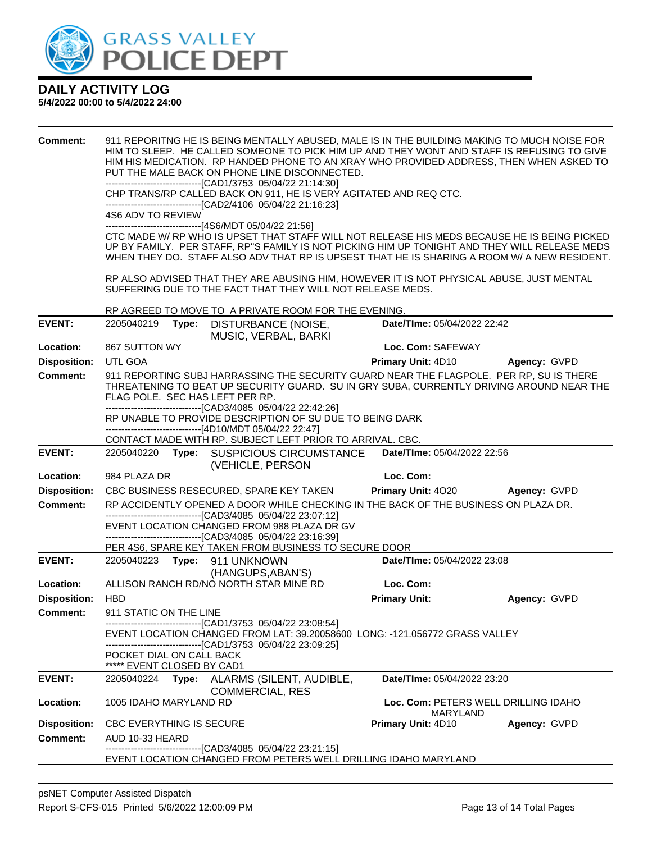

| <b>Comment:</b>     | 4S6 ADV TO REVIEW                        |       | PUT THE MALE BACK ON PHONE LINE DISCONNECTED.<br>-------------------------------[CAD1/3753 05/04/22 21:14:30]<br>CHP TRANS/RP CALLED BACK ON 911, HE IS VERY AGITATED AND REQ CTC.<br>--------------------------------[CAD2/4106 05/04/22 21:16:23]<br>------------------------------[4S6/MDT 05/04/22 21:56]<br>SUFFERING DUE TO THE FACT THAT THEY WILL NOT RELEASE MEDS. |                             | 911 REPORITNG HE IS BEING MENTALLY ABUSED, MALE IS IN THE BUILDING MAKING TO MUCH NOISE FOR<br>HIM TO SLEEP. HE CALLED SOMEONE TO PICK HIM UP AND THEY WONT AND STAFF IS REFUSING TO GIVE<br>HIM HIS MEDICATION. RP HANDED PHONE TO AN XRAY WHO PROVIDED ADDRESS, THEN WHEN ASKED TO<br>CTC MADE W/ RP WHO IS UPSET THAT STAFF WILL NOT RELEASE HIS MEDS BECAUSE HE IS BEING PICKED<br>UP BY FAMILY. PER STAFF, RP"S FAMILY IS NOT PICKING HIM UP TONIGHT AND THEY WILL RELEASE MEDS<br>WHEN THEY DO. STAFF ALSO ADV THAT RP IS UPSEST THAT HE IS SHARING A ROOM W/ A NEW RESIDENT.<br>RP ALSO ADVISED THAT THEY ARE ABUSING HIM, HOWEVER IT IS NOT PHYSICAL ABUSE, JUST MENTAL |
|---------------------|------------------------------------------|-------|-----------------------------------------------------------------------------------------------------------------------------------------------------------------------------------------------------------------------------------------------------------------------------------------------------------------------------------------------------------------------------|-----------------------------|---------------------------------------------------------------------------------------------------------------------------------------------------------------------------------------------------------------------------------------------------------------------------------------------------------------------------------------------------------------------------------------------------------------------------------------------------------------------------------------------------------------------------------------------------------------------------------------------------------------------------------------------------------------------------------|
|                     |                                          |       | RP AGREED TO MOVE TO A PRIVATE ROOM FOR THE EVENING.                                                                                                                                                                                                                                                                                                                        |                             |                                                                                                                                                                                                                                                                                                                                                                                                                                                                                                                                                                                                                                                                                 |
| <b>EVENT:</b>       | 2205040219                               | Type: | DISTURBANCE (NOISE,<br>MUSIC, VERBAL, BARKI                                                                                                                                                                                                                                                                                                                                 | Date/TIme: 05/04/2022 22:42 |                                                                                                                                                                                                                                                                                                                                                                                                                                                                                                                                                                                                                                                                                 |
| Location:           | 867 SUTTON WY                            |       |                                                                                                                                                                                                                                                                                                                                                                             | Loc. Com: SAFEWAY           |                                                                                                                                                                                                                                                                                                                                                                                                                                                                                                                                                                                                                                                                                 |
| <b>Disposition:</b> | UTL GOA                                  |       |                                                                                                                                                                                                                                                                                                                                                                             | Primary Unit: 4D10          | Agency: GVPD                                                                                                                                                                                                                                                                                                                                                                                                                                                                                                                                                                                                                                                                    |
| <b>Comment:</b>     |                                          |       | FLAG POLE. SEC HAS LEFT PER RP.<br>-------------------------------[CAD3/4085 05/04/22 22:42:26]                                                                                                                                                                                                                                                                             |                             | 911 REPORTING SUBJ HARRASSING THE SECURITY GUARD NEAR THE FLAGPOLE. PER RP, SU IS THERE<br>THREATENING TO BEAT UP SECURITY GUARD. SU IN GRY SUBA, CURRENTLY DRIVING AROUND NEAR THE                                                                                                                                                                                                                                                                                                                                                                                                                                                                                             |
|                     |                                          |       | RP UNABLE TO PROVIDE DESCRIPTION OF SU DUE TO BEING DARK                                                                                                                                                                                                                                                                                                                    |                             |                                                                                                                                                                                                                                                                                                                                                                                                                                                                                                                                                                                                                                                                                 |
|                     |                                          |       | ------------------------------[4D10/MDT 05/04/22 22:47]<br>CONTACT MADE WITH RP. SUBJECT LEFT PRIOR TO ARRIVAL. CBC.                                                                                                                                                                                                                                                        |                             |                                                                                                                                                                                                                                                                                                                                                                                                                                                                                                                                                                                                                                                                                 |
| <b>EVENT:</b>       |                                          |       | 2205040220 Type: SUSPICIOUS CIRCUMSTANCE                                                                                                                                                                                                                                                                                                                                    | Date/TIme: 05/04/2022 22:56 |                                                                                                                                                                                                                                                                                                                                                                                                                                                                                                                                                                                                                                                                                 |
|                     |                                          |       | (VEHICLE, PERSON                                                                                                                                                                                                                                                                                                                                                            |                             |                                                                                                                                                                                                                                                                                                                                                                                                                                                                                                                                                                                                                                                                                 |
| Location:           | 984 PLAZA DR                             |       |                                                                                                                                                                                                                                                                                                                                                                             | Loc. Com:                   |                                                                                                                                                                                                                                                                                                                                                                                                                                                                                                                                                                                                                                                                                 |
| <b>Disposition:</b> |                                          |       | CBC BUSINESS RESECURED, SPARE KEY TAKEN                                                                                                                                                                                                                                                                                                                                     | <b>Primary Unit: 4020</b>   | Agency: GVPD                                                                                                                                                                                                                                                                                                                                                                                                                                                                                                                                                                                                                                                                    |
| <b>Comment:</b>     |                                          |       | RP ACCIDENTLY OPENED A DOOR WHILE CHECKING IN THE BACK OF THE BUSINESS ON PLAZA DR.<br>------------------------[CAD3/4085 05/04/22 23:07:12]<br>EVENT LOCATION CHANGED FROM 988 PLAZA DR GV<br>-------------------------------[CAD3/4085 05/04/22 23:16:39]<br>PER 4S6, SPARE KEY TAKEN FROM BUSINESS TO SECURE DOOR                                                        |                             |                                                                                                                                                                                                                                                                                                                                                                                                                                                                                                                                                                                                                                                                                 |
| <b>EVENT:</b>       |                                          |       | 2205040223 Type: 911 UNKNOWN                                                                                                                                                                                                                                                                                                                                                | Date/TIme: 05/04/2022 23:08 |                                                                                                                                                                                                                                                                                                                                                                                                                                                                                                                                                                                                                                                                                 |
|                     |                                          |       | (HANGUPS, ABAN'S)                                                                                                                                                                                                                                                                                                                                                           |                             |                                                                                                                                                                                                                                                                                                                                                                                                                                                                                                                                                                                                                                                                                 |
| Location:           |                                          |       | ALLISON RANCH RD/NO NORTH STAR MINE RD                                                                                                                                                                                                                                                                                                                                      | Loc. Com:                   |                                                                                                                                                                                                                                                                                                                                                                                                                                                                                                                                                                                                                                                                                 |
| <b>Disposition:</b> | <b>HBD</b>                               |       |                                                                                                                                                                                                                                                                                                                                                                             | <b>Primary Unit:</b>        | Agency: GVPD                                                                                                                                                                                                                                                                                                                                                                                                                                                                                                                                                                                                                                                                    |
| <b>Comment:</b>     | 911 STATIC ON THE LINE                   |       |                                                                                                                                                                                                                                                                                                                                                                             |                             |                                                                                                                                                                                                                                                                                                                                                                                                                                                                                                                                                                                                                                                                                 |
|                     | POCKET DIAL ON CALL BACK                 |       | -------------------------------[CAD1/3753 05/04/22 23:08:54]<br>EVENT LOCATION CHANGED FROM LAT: 39.20058600 LONG: -121.056772 GRASS VALLEY<br>-------------------------------[CAD1/3753 05/04/22 23:09:25]                                                                                                                                                                 |                             |                                                                                                                                                                                                                                                                                                                                                                                                                                                                                                                                                                                                                                                                                 |
| <b>EVENT:</b>       | ***** EVENT CLOSED BY CAD1<br>2205040224 | Type: | ALARMS (SILENT, AUDIBLE,                                                                                                                                                                                                                                                                                                                                                    | Date/TIme: 05/04/2022 23:20 |                                                                                                                                                                                                                                                                                                                                                                                                                                                                                                                                                                                                                                                                                 |
|                     |                                          |       | <b>COMMERCIAL, RES</b>                                                                                                                                                                                                                                                                                                                                                      |                             |                                                                                                                                                                                                                                                                                                                                                                                                                                                                                                                                                                                                                                                                                 |
| Location:           | 1005 IDAHO MARYLAND RD                   |       |                                                                                                                                                                                                                                                                                                                                                                             |                             | Loc. Com: PETERS WELL DRILLING IDAHO<br><b>MARYLAND</b>                                                                                                                                                                                                                                                                                                                                                                                                                                                                                                                                                                                                                         |
| <b>Disposition:</b> | <b>CBC EVERYTHING IS SECURE</b>          |       |                                                                                                                                                                                                                                                                                                                                                                             | Primary Unit: 4D10          | Agency: GVPD                                                                                                                                                                                                                                                                                                                                                                                                                                                                                                                                                                                                                                                                    |
| <b>Comment:</b>     | AUD 10-33 HEARD                          |       |                                                                                                                                                                                                                                                                                                                                                                             |                             |                                                                                                                                                                                                                                                                                                                                                                                                                                                                                                                                                                                                                                                                                 |
|                     |                                          |       | -------------------------[CAD3/4085_05/04/22 23:21:15]<br>EVENT LOCATION CHANGED FROM PETERS WELL DRILLING IDAHO MARYLAND                                                                                                                                                                                                                                                   |                             |                                                                                                                                                                                                                                                                                                                                                                                                                                                                                                                                                                                                                                                                                 |